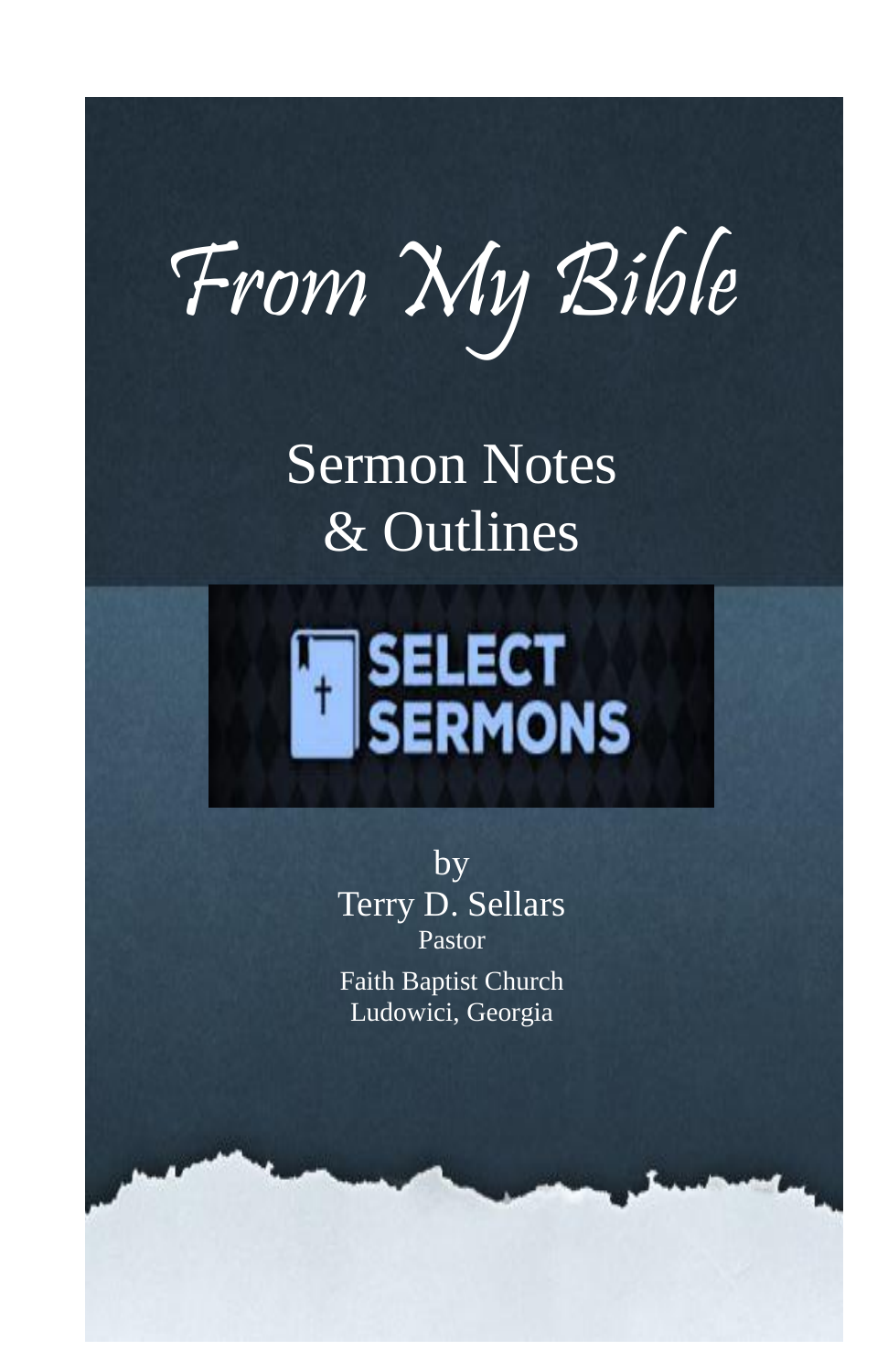From My Bible

Sermon Notes & Outlines



by Terry D. Sellars Pastor

Faith Baptist Church Ludowici, Georgia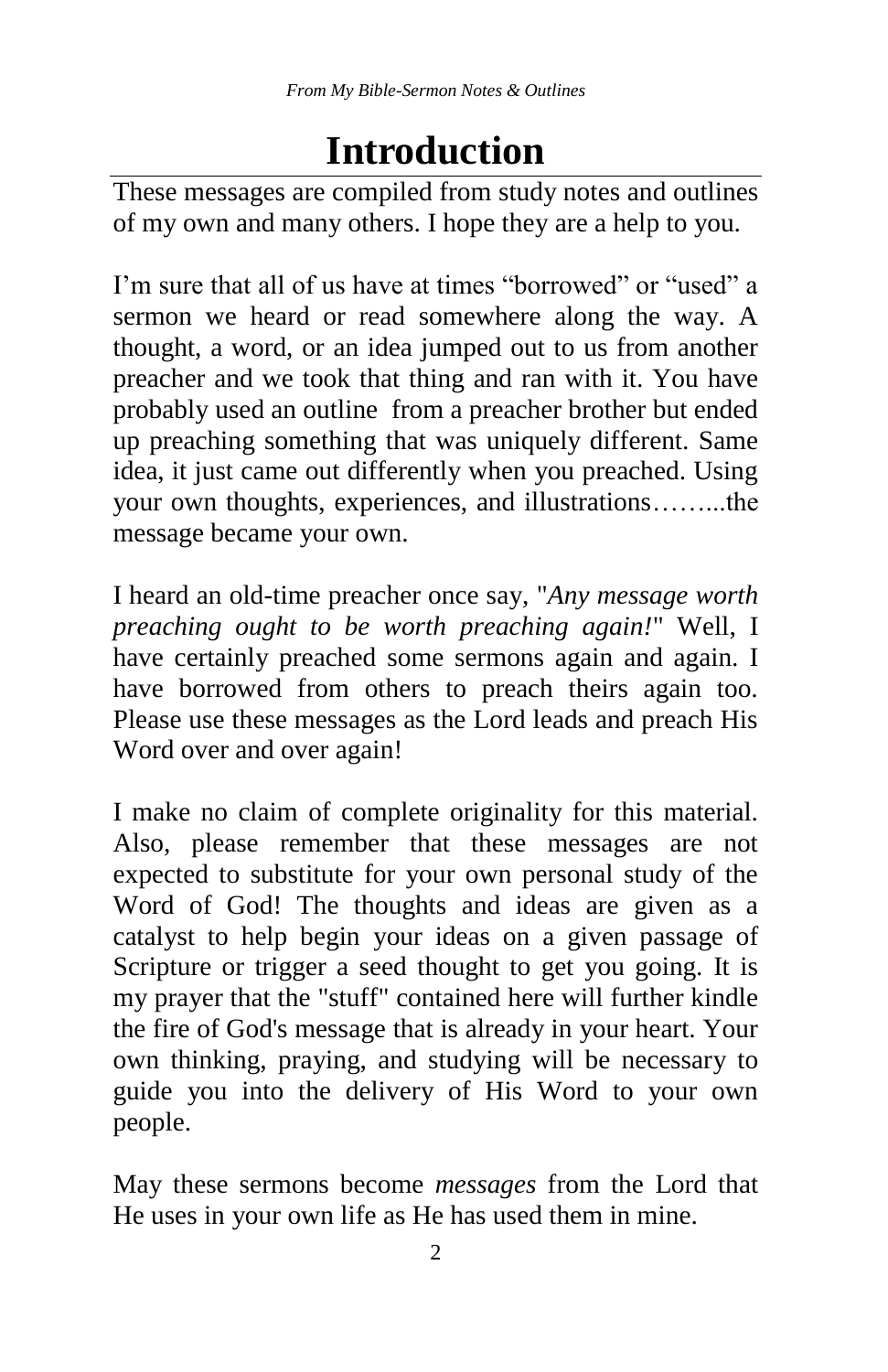# **Introduction**

<span id="page-1-0"></span>These messages are compiled from study notes and outlines of my own and many others. I hope they are a help to you.

I'm sure that all of us have at times "borrowed" or "used" a sermon we heard or read somewhere along the way. A thought, a word, or an idea jumped out to us from another preacher and we took that thing and ran with it. You have probably used an outline from a preacher brother but ended up preaching something that was uniquely different. Same idea, it just came out differently when you preached. Using your own thoughts, experiences, and illustrations……...the message became your own.

I heard an old-time preacher once say, "*Any message worth preaching ought to be worth preaching again!*" Well, I have certainly preached some sermons again and again. I have borrowed from others to preach theirs again too. Please use these messages as the Lord leads and preach His Word over and over again!

I make no claim of complete originality for this material. Also, please remember that these messages are not expected to substitute for your own personal study of the Word of God! The thoughts and ideas are given as a catalyst to help begin your ideas on a given passage of Scripture or trigger a seed thought to get you going. It is my prayer that the "stuff" contained here will further kindle the fire of God's message that is already in your heart. Your own thinking, praying, and studying will be necessary to guide you into the delivery of His Word to your own people.

May these sermons become *messages* from the Lord that He uses in your own life as He has used them in mine.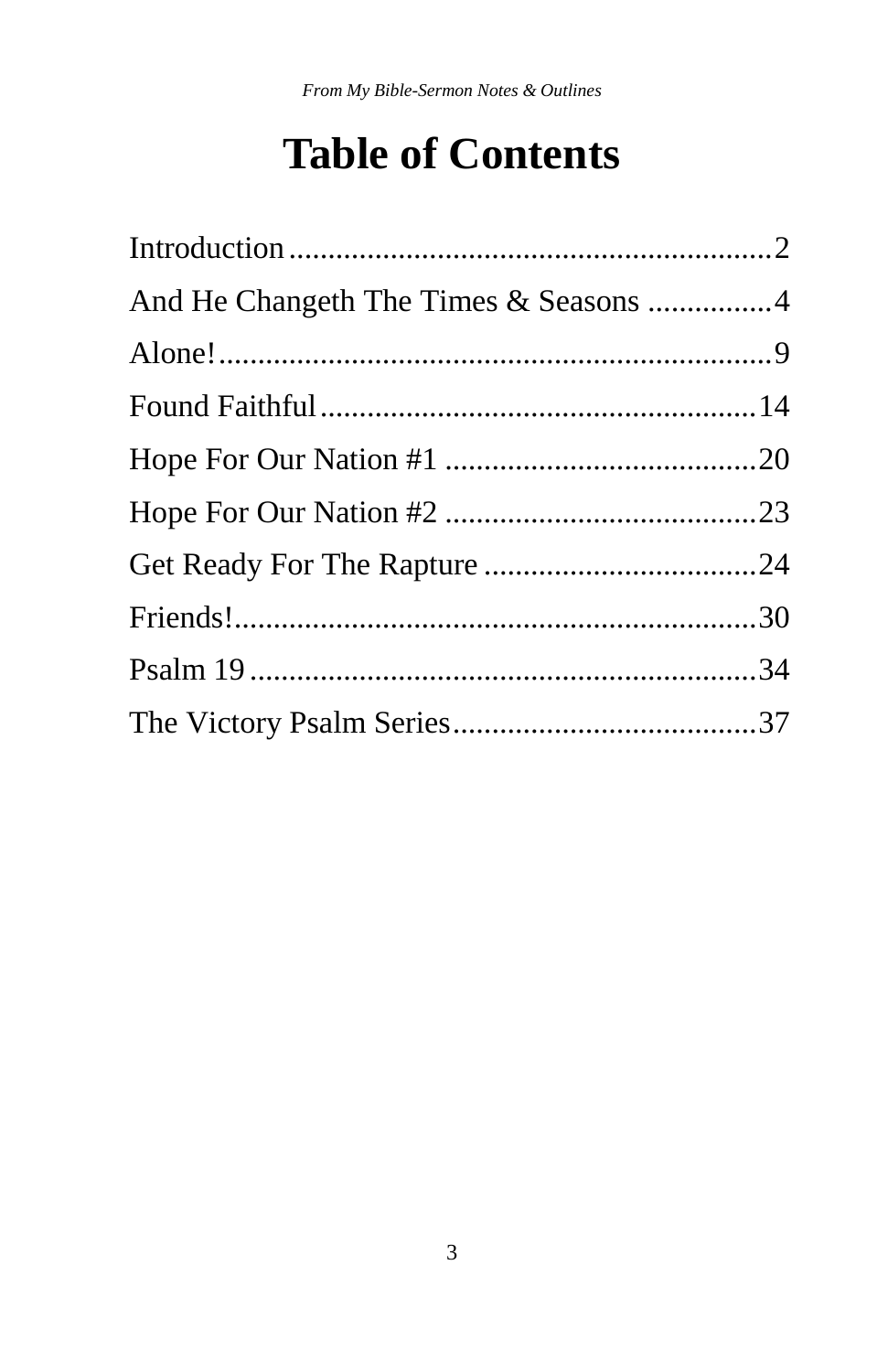# **Table of Contents**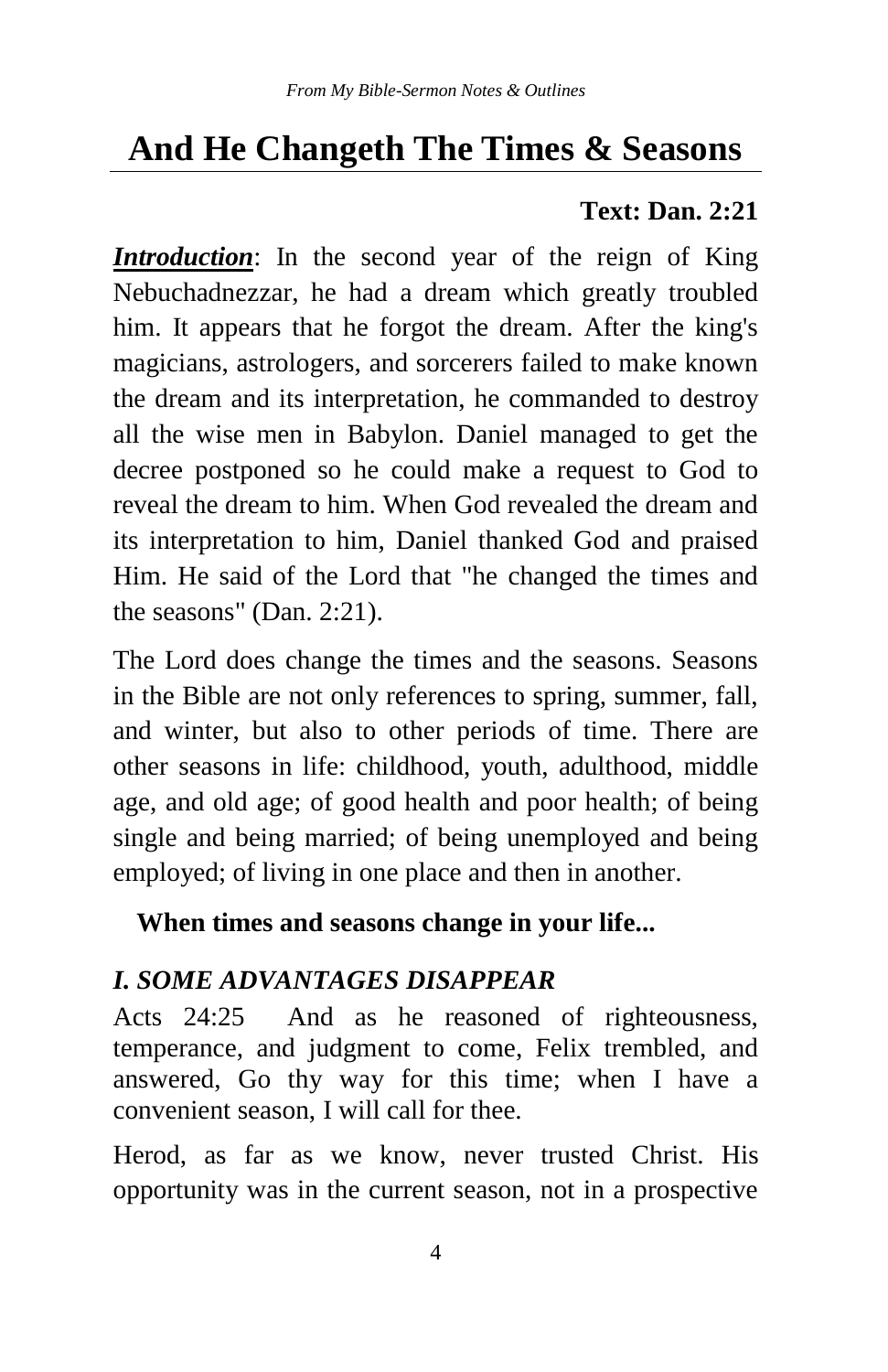# <span id="page-3-0"></span>**And He Changeth The Times & Seasons**

#### **Text: Dan. 2:21**

*Introduction*: In the second year of the reign of King Nebuchadnezzar, he had a dream which greatly troubled him. It appears that he forgot the dream. After the king's magicians, astrologers, and sorcerers failed to make known the dream and its interpretation, he commanded to destroy all the wise men in Babylon. Daniel managed to get the decree postponed so he could make a request to God to reveal the dream to him. When God revealed the dream and its interpretation to him, Daniel thanked God and praised Him. He said of the Lord that "he changed the times and the seasons" (Dan. 2:21).

The Lord does change the times and the seasons. Seasons in the Bible are not only references to spring, summer, fall, and winter, but also to other periods of time. There are other seasons in life: childhood, youth, adulthood, middle age, and old age; of good health and poor health; of being single and being married; of being unemployed and being employed; of living in one place and then in another.

#### **When times and seasons change in your life...**

#### *I. SOME ADVANTAGES DISAPPEAR*

Acts 24:25 And as he reasoned of righteousness, temperance, and judgment to come, Felix trembled, and answered, Go thy way for this time; when I have a convenient season, I will call for thee.

Herod, as far as we know, never trusted Christ. His opportunity was in the current season, not in a prospective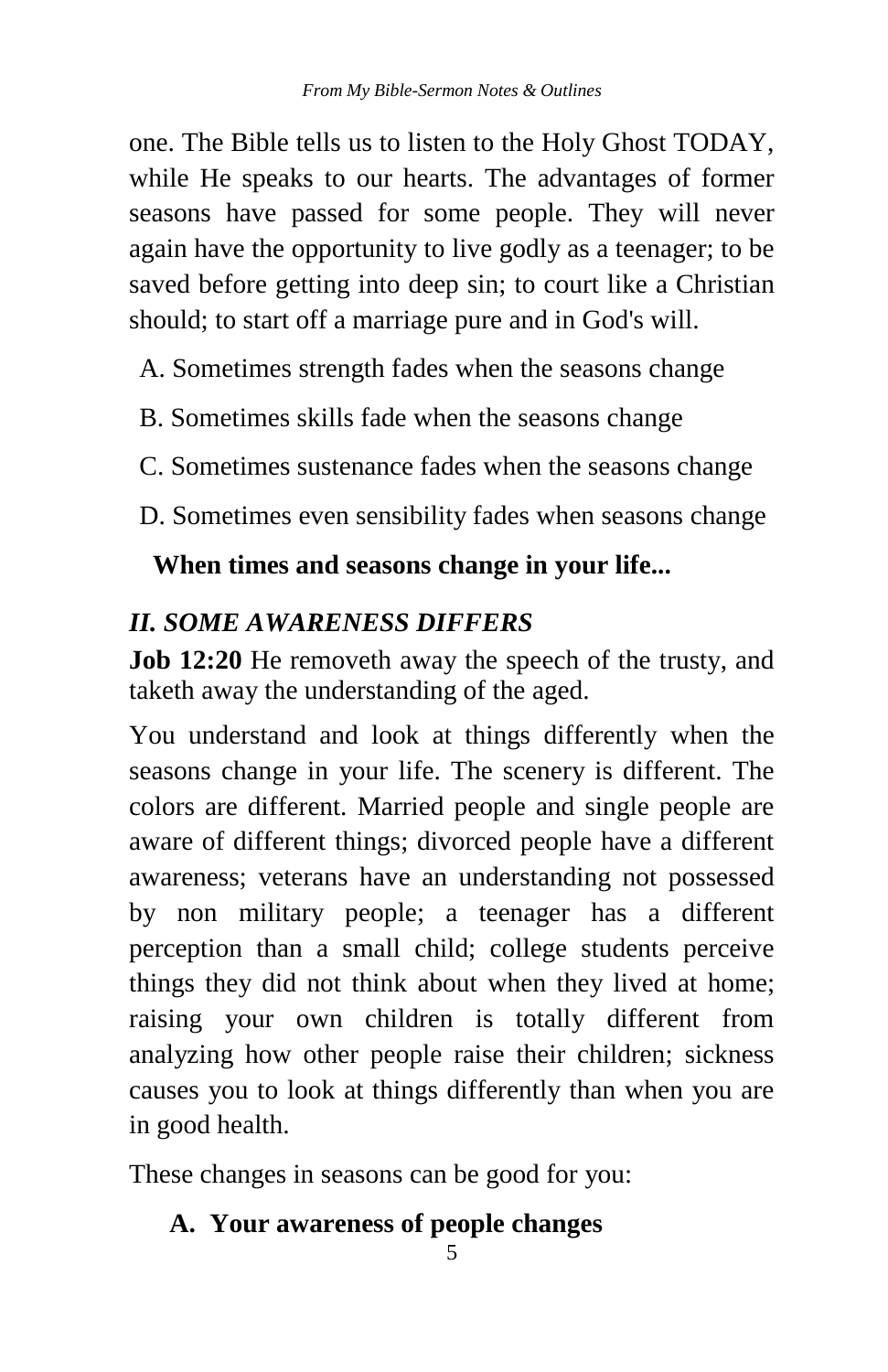one. The Bible tells us to listen to the Holy Ghost TODAY, while He speaks to our hearts. The advantages of former seasons have passed for some people. They will never again have the opportunity to live godly as a teenager; to be saved before getting into deep sin; to court like a Christian should; to start off a marriage pure and in God's will.

A. Sometimes strength fades when the seasons change

B. Sometimes skills fade when the seasons change

C. Sometimes sustenance fades when the seasons change

D. Sometimes even sensibility fades when seasons change

# **When times and seasons change in your life...**

# *II. SOME AWARENESS DIFFERS*

**Job 12:20** He removeth away the speech of the trusty, and taketh away the understanding of the aged.

You understand and look at things differently when the seasons change in your life. The scenery is different. The colors are different. Married people and single people are aware of different things; divorced people have a different awareness; veterans have an understanding not possessed by non military people; a teenager has a different perception than a small child; college students perceive things they did not think about when they lived at home; raising your own children is totally different from analyzing how other people raise their children; sickness causes you to look at things differently than when you are in good health.

These changes in seasons can be good for you:

# **A. Your awareness of people changes**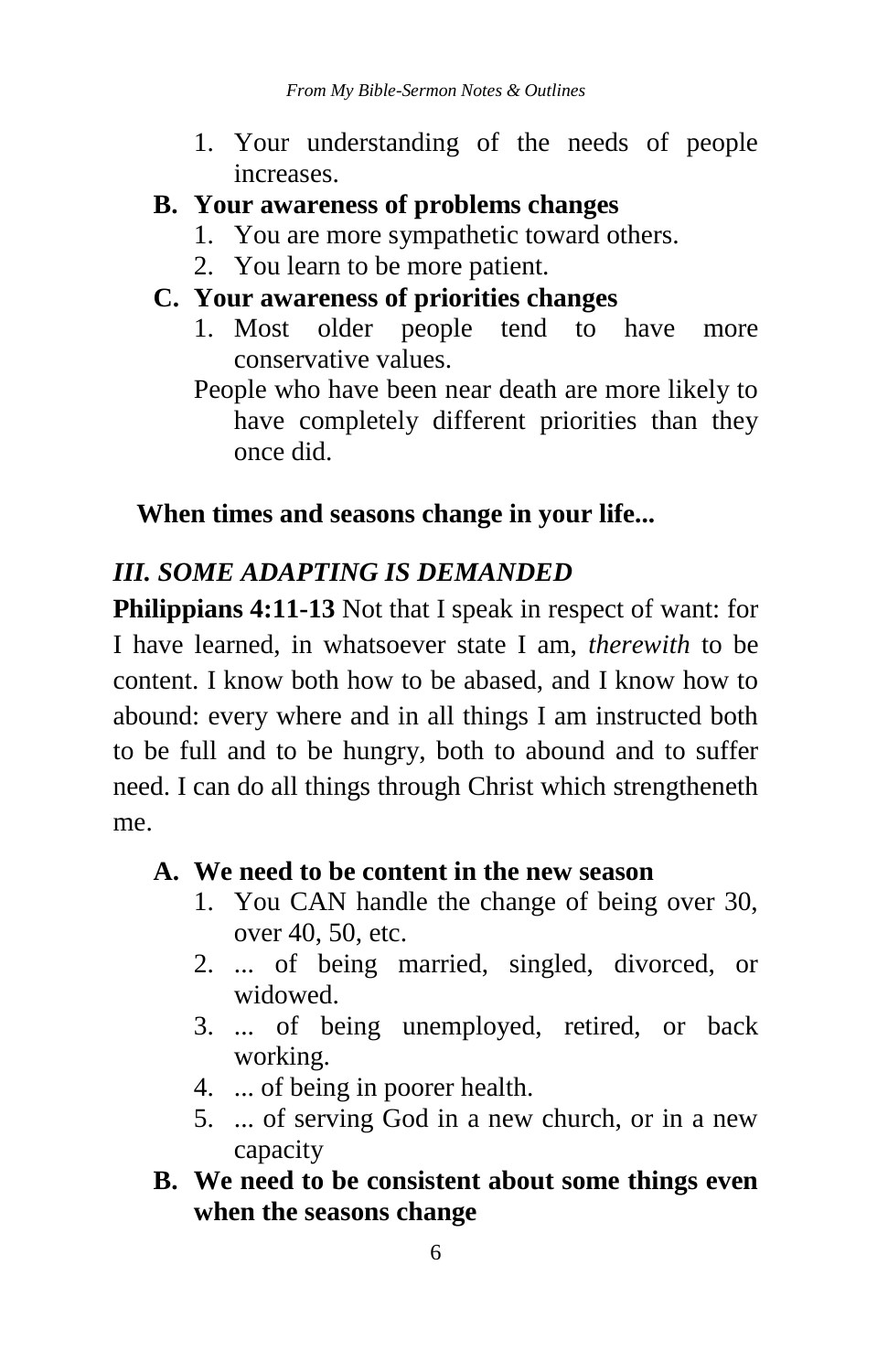1. Your understanding of the needs of people increases.

#### **B. Your awareness of problems changes**

- 1. You are more sympathetic toward others.
- 2. You learn to be more patient.
- **C. Your awareness of priorities changes**
	- 1. Most older people tend to have more conservative values.
	- People who have been near death are more likely to have completely different priorities than they once did.

### **When times and seasons change in your life...**

# *III. SOME ADAPTING IS DEMANDED*

**Philippians 4:11-13** Not that I speak in respect of want: for I have learned, in whatsoever state I am, *therewith* to be content. I know both how to be abased, and I know how to abound: every where and in all things I am instructed both to be full and to be hungry, both to abound and to suffer need. I can do all things through Christ which strengtheneth me.

#### **A. We need to be content in the new season**

- 1. You CAN handle the change of being over 30, over 40, 50, etc.
- 2. ... of being married, singled, divorced, or widowed.
- 3. ... of being unemployed, retired, or back working.
- 4. ... of being in poorer health.
- 5. ... of serving God in a new church, or in a new capacity
- **B. We need to be consistent about some things even when the seasons change**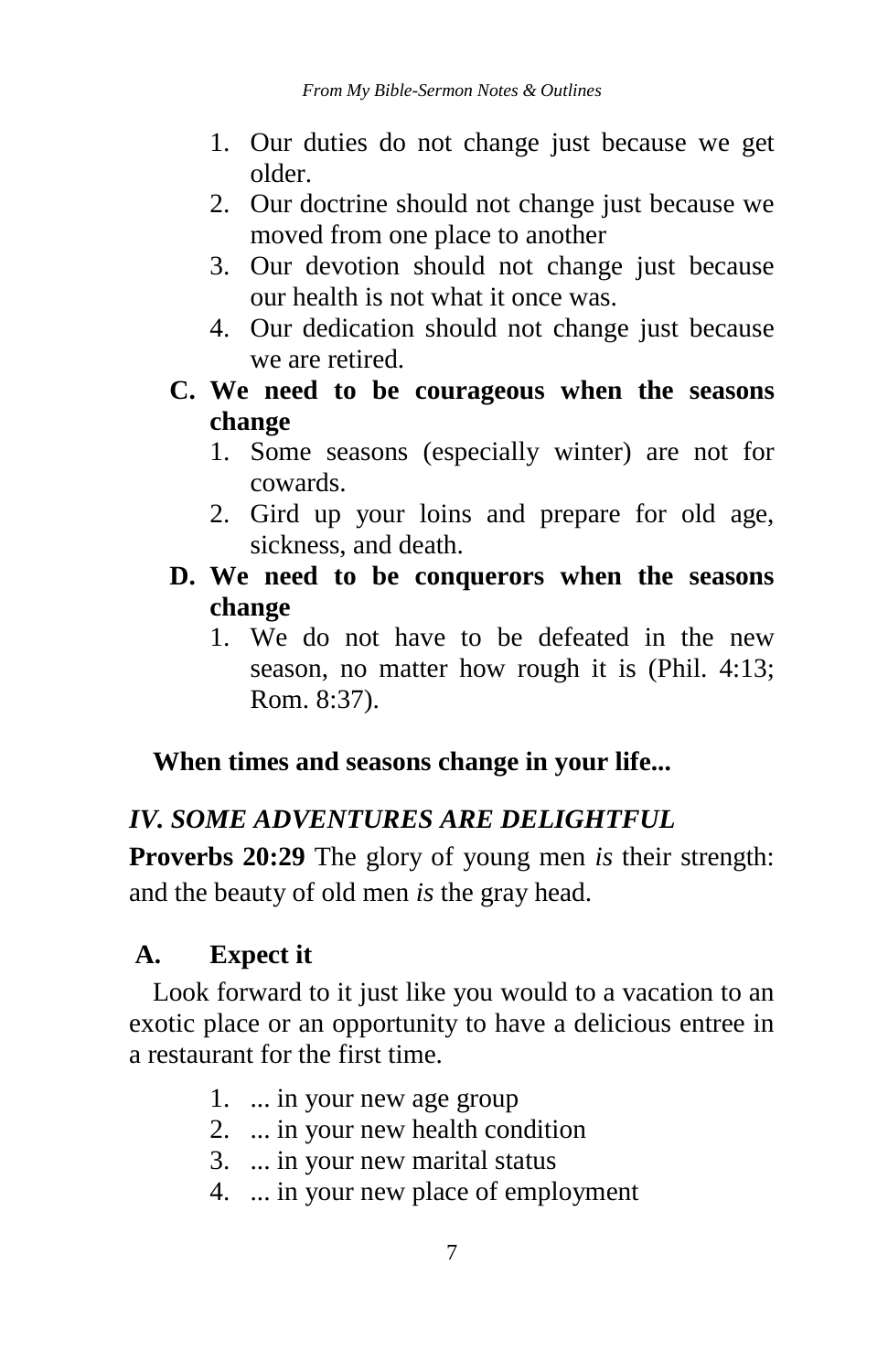- 1. Our duties do not change just because we get older.
- 2. Our doctrine should not change just because we moved from one place to another
- 3. Our devotion should not change just because our health is not what it once was.
- 4. Our dedication should not change just because we are retired.
- **C. We need to be courageous when the seasons change**
	- 1. Some seasons (especially winter) are not for cowards.
	- 2. Gird up your loins and prepare for old age, sickness, and death.
- **D. We need to be conquerors when the seasons change**
	- 1. We do not have to be defeated in the new season, no matter how rough it is (Phil. 4:13; Rom. 8:37).

#### **When times and seasons change in your life...**

# *IV. SOME ADVENTURES ARE DELIGHTFUL*

**Proverbs 20:29** The glory of young men *is* their strength: and the beauty of old men *is* the gray head.

# **A. Expect it**

Look forward to it just like you would to a vacation to an exotic place or an opportunity to have a delicious entree in a restaurant for the first time.

- 1. ... in your new age group
- 2. ... in your new health condition
- 3. ... in your new marital status
- 4. ... in your new place of employment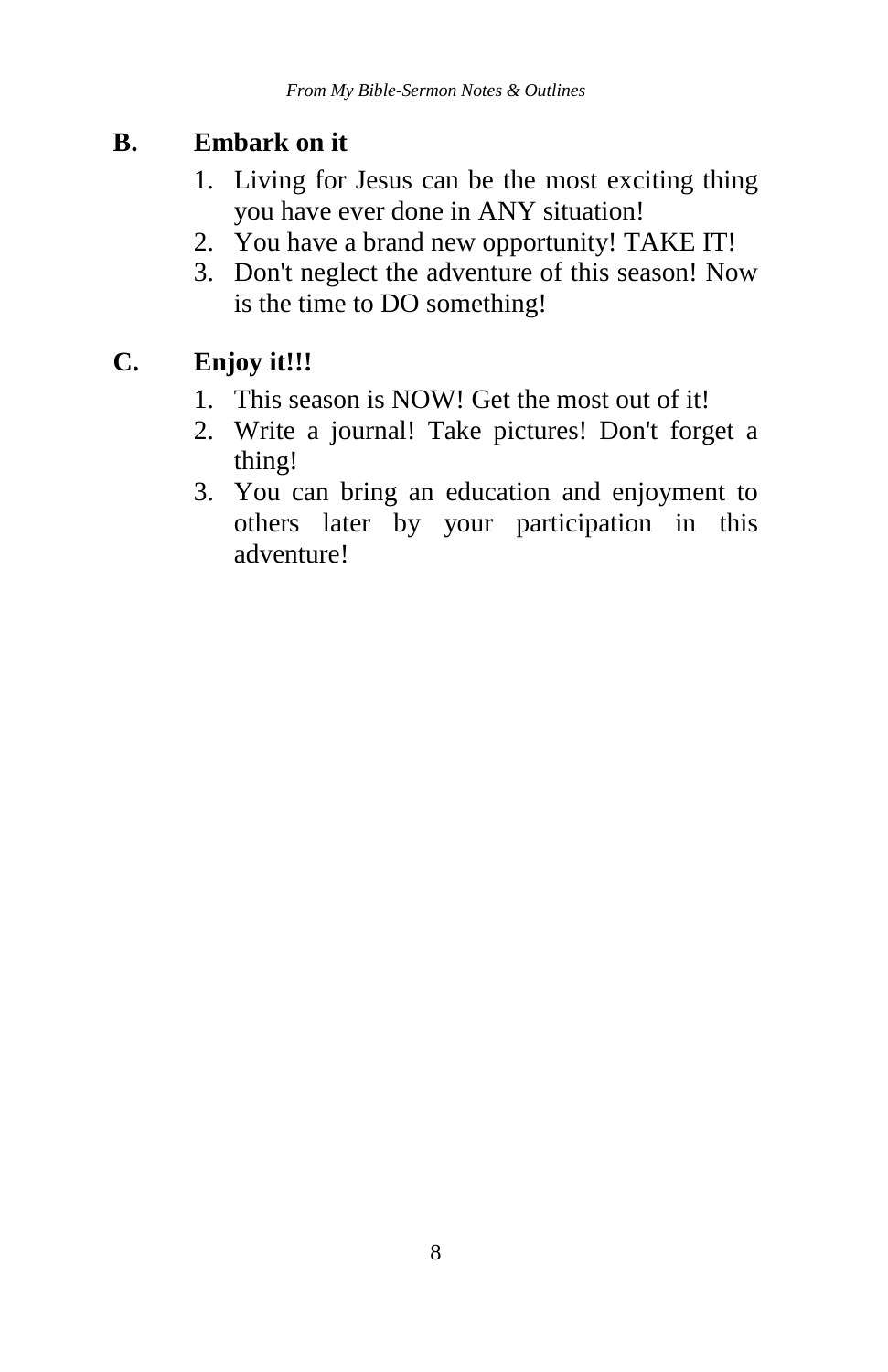# **B. Embark on it**

- 1. Living for Jesus can be the most exciting thing you have ever done in ANY situation!
- 2. You have a brand new opportunity! TAKE IT!
- 3. Don't neglect the adventure of this season! Now is the time to DO something!

# **C. Enjoy it!!!**

- 1. This season is NOW! Get the most out of it!
- 2. Write a journal! Take pictures! Don't forget a thing!
- 3. You can bring an education and enjoyment to others later by your participation in this adventure!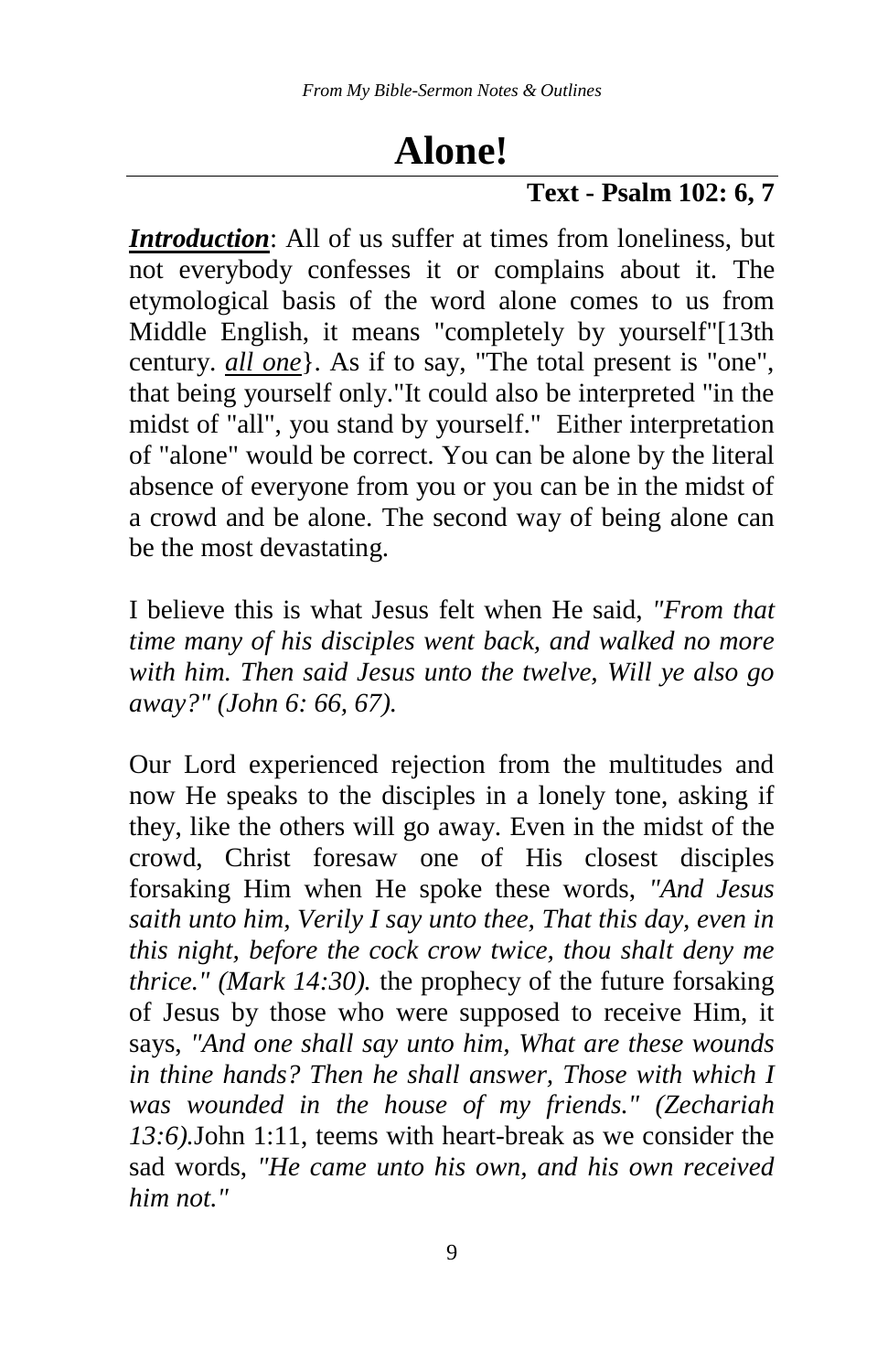# **Alone!**

# **Text - Psalm 102: 6, 7**

<span id="page-8-0"></span>*Introduction*: All of us suffer at times from loneliness, but not everybody confesses it or complains about it. The etymological basis of the word alone comes to us from Middle English, it means "completely by yourself"[13th century. *all one*}. As if to say, "The total present is "one", that being yourself only."It could also be interpreted "in the midst of "all", you stand by yourself." Either interpretation of "alone" would be correct. You can be alone by the literal absence of everyone from you or you can be in the midst of a crowd and be alone. The second way of being alone can be the most devastating.

I believe this is what Jesus felt when He said, *"From that time many of his disciples went back, and walked no more with him. Then said Jesus unto the twelve, Will ye also go away?" (John 6: 66, 67).*

Our Lord experienced rejection from the multitudes and now He speaks to the disciples in a lonely tone, asking if they, like the others will go away. Even in the midst of the crowd, Christ foresaw one of His closest disciples forsaking Him when He spoke these words, *"And Jesus saith unto him, Verily I say unto thee, That this day, even in this night, before the cock crow twice, thou shalt deny me thrice." (Mark 14:30).* the prophecy of the future forsaking of Jesus by those who were supposed to receive Him, it says, *"And one shall say unto him, What are these wounds in thine hands? Then he shall answer, Those with which I was wounded in the house of my friends." (Zechariah 13:6).*John 1:11, teems with heart-break as we consider the sad words, *"He came unto his own, and his own received him not."*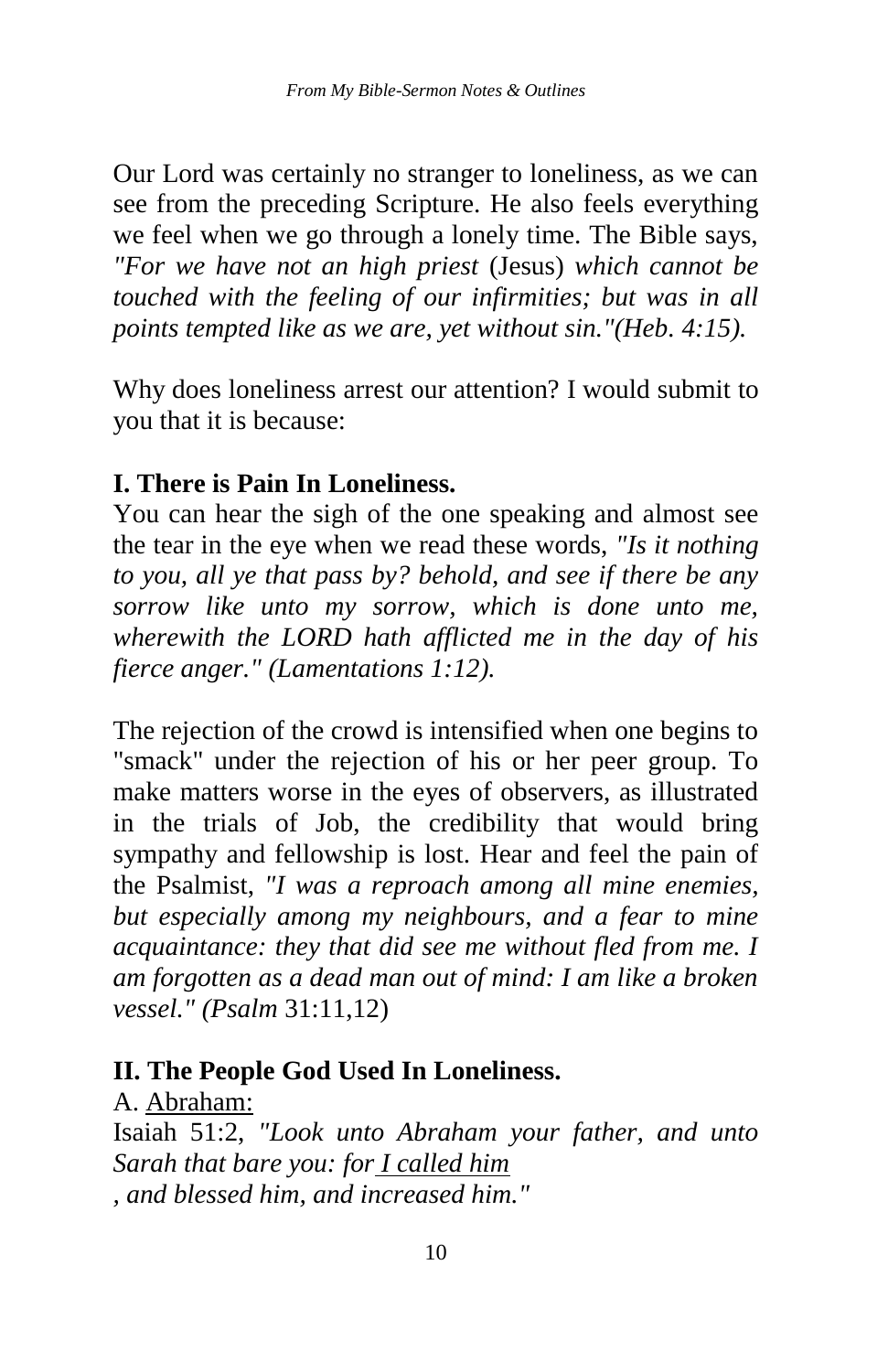Our Lord was certainly no stranger to loneliness, as we can see from the preceding Scripture. He also feels everything we feel when we go through a lonely time. The Bible says, *"For we have not an high priest* (Jesus) *which cannot be touched with the feeling of our infirmities; but was in all points tempted like as we are, yet without sin."(Heb. 4:15).*

Why does loneliness arrest our attention? I would submit to you that it is because:

#### **I. There is Pain In Loneliness.**

You can hear the sigh of the one speaking and almost see the tear in the eye when we read these words, *"Is it nothing to you, all ye that pass by? behold, and see if there be any sorrow like unto my sorrow, which is done unto me, wherewith the LORD hath afflicted me in the day of his fierce anger." (Lamentations 1:12).*

The rejection of the crowd is intensified when one begins to "smack" under the rejection of his or her peer group. To make matters worse in the eyes of observers, as illustrated in the trials of Job, the credibility that would bring sympathy and fellowship is lost. Hear and feel the pain of the Psalmist, *"I was a reproach among all mine enemies, but especially among my neighbours, and a fear to mine acquaintance: they that did see me without fled from me. I am forgotten as a dead man out of mind: I am like a broken vessel." (Psalm* 31:11,12)

#### **II. The People God Used In Loneliness.**

A. Abraham:

Isaiah 51:2, *"Look unto Abraham your father, and unto Sarah that bare you: for I called him , and blessed him, and increased him."*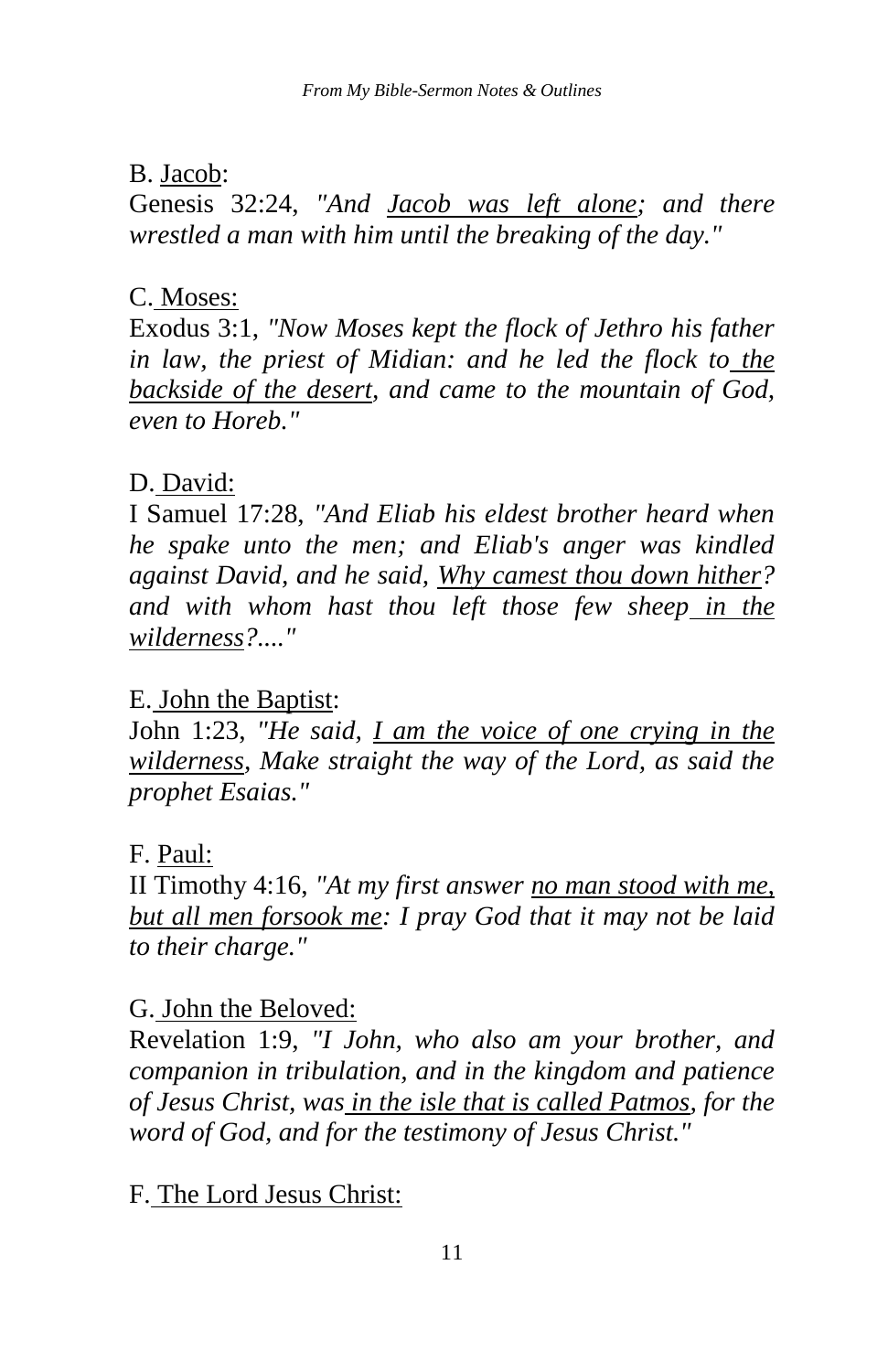#### B. Jacob:

Genesis 32:24, *"And Jacob was left alone; and there wrestled a man with him until the breaking of the day."* 

#### C. Moses:

Exodus 3:1, *"Now Moses kept the flock of Jethro his father in law, the priest of Midian: and he led the flock to the backside of the desert, and came to the mountain of God, even to Horeb."* 

### D. David:

I Samuel 17:28, *"And Eliab his eldest brother heard when he spake unto the men; and Eliab's anger was kindled against David, and he said, Why camest thou down hither? and with whom hast thou left those few sheep in the wilderness?...."*

E. John the Baptist:

John 1:23, *"He said, I am the voice of one crying in the wilderness, Make straight the way of the Lord, as said the prophet Esaias."* 

#### F. Paul:

II Timothy 4:16, *"At my first answer no man stood with me, but all men forsook me: I pray God that it may not be laid to their charge."*

#### G. John the Beloved:

Revelation 1:9, *"I John, who also am your brother, and companion in tribulation, and in the kingdom and patience of Jesus Christ, was in the isle that is called Patmos, for the word of God, and for the testimony of Jesus Christ."* 

F. The Lord Jesus Christ: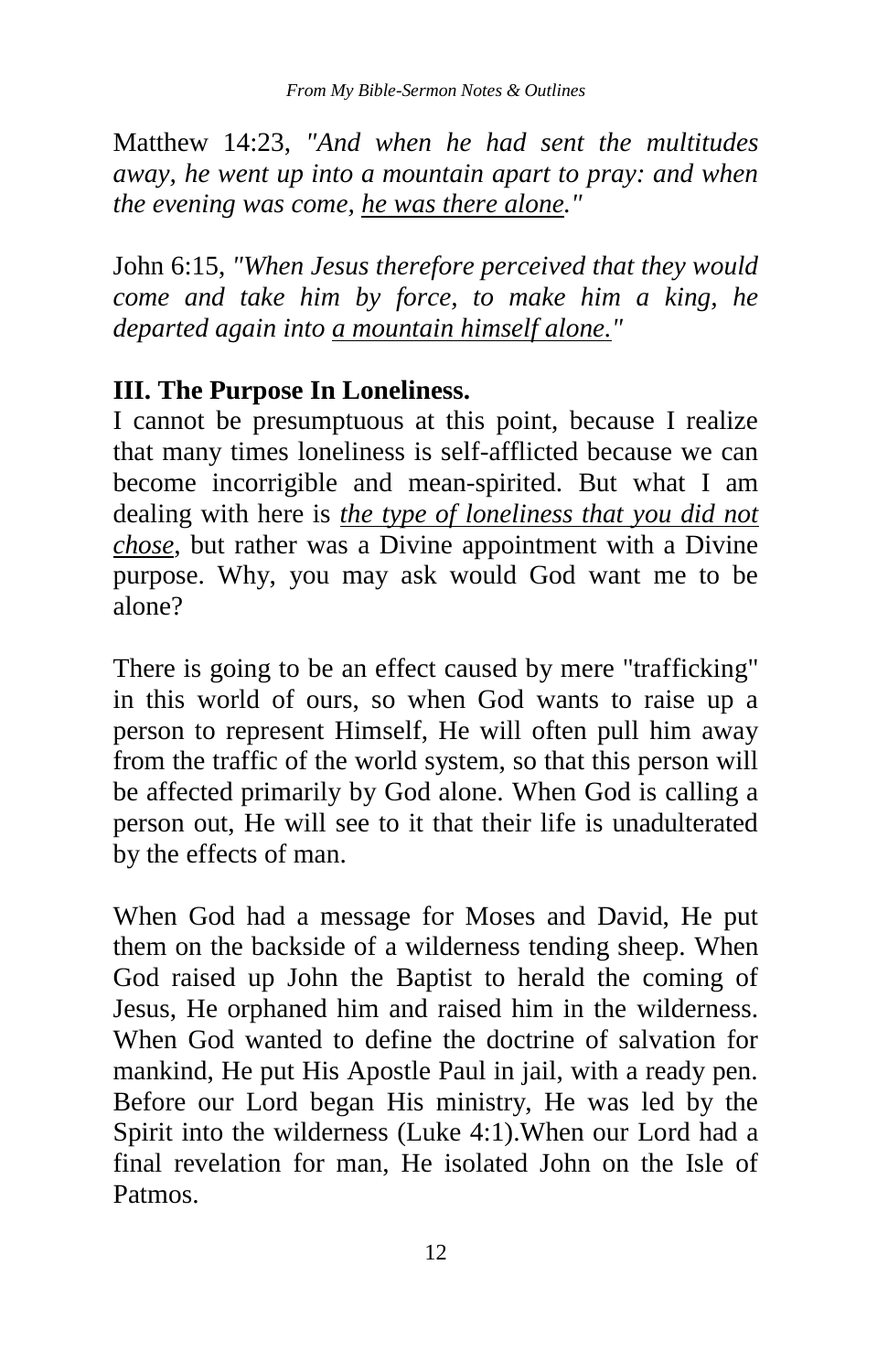Matthew 14:23, *"And when he had sent the multitudes away, he went up into a mountain apart to pray: and when the evening was come, he was there alone."* 

John 6:15, *"When Jesus therefore perceived that they would come and take him by force, to make him a king, he departed again into a mountain himself alone."* 

### **III. The Purpose In Loneliness.**

I cannot be presumptuous at this point, because I realize that many times loneliness is self-afflicted because we can become incorrigible and mean-spirited. But what I am dealing with here is *the type of loneliness that you did not chose*, but rather was a Divine appointment with a Divine purpose. Why, you may ask would God want me to be alone?

There is going to be an effect caused by mere "trafficking" in this world of ours, so when God wants to raise up a person to represent Himself, He will often pull him away from the traffic of the world system, so that this person will be affected primarily by God alone. When God is calling a person out, He will see to it that their life is unadulterated by the effects of man.

When God had a message for Moses and David, He put them on the backside of a wilderness tending sheep. When God raised up John the Baptist to herald the coming of Jesus, He orphaned him and raised him in the wilderness. When God wanted to define the doctrine of salvation for mankind, He put His Apostle Paul in jail, with a ready pen. Before our Lord began His ministry, He was led by the Spirit into the wilderness (Luke 4:1).When our Lord had a final revelation for man, He isolated John on the Isle of Patmos.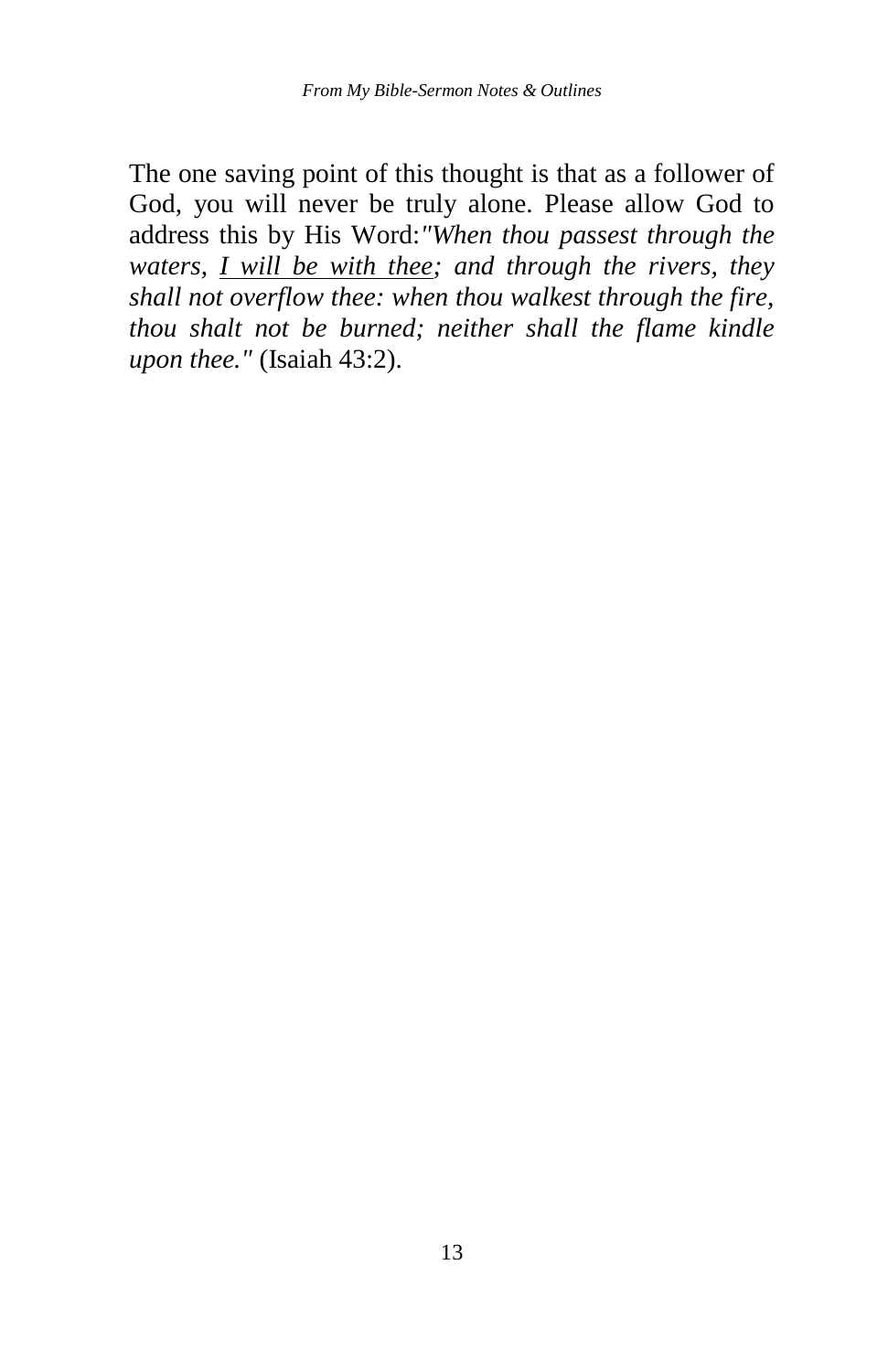The one saving point of this thought is that as a follower of God, you will never be truly alone. Please allow God to address this by His Word:*"When thou passest through the waters, I will be with thee; and through the rivers, they shall not overflow thee: when thou walkest through the fire, thou shalt not be burned; neither shall the flame kindle upon thee."* (Isaiah 43:2).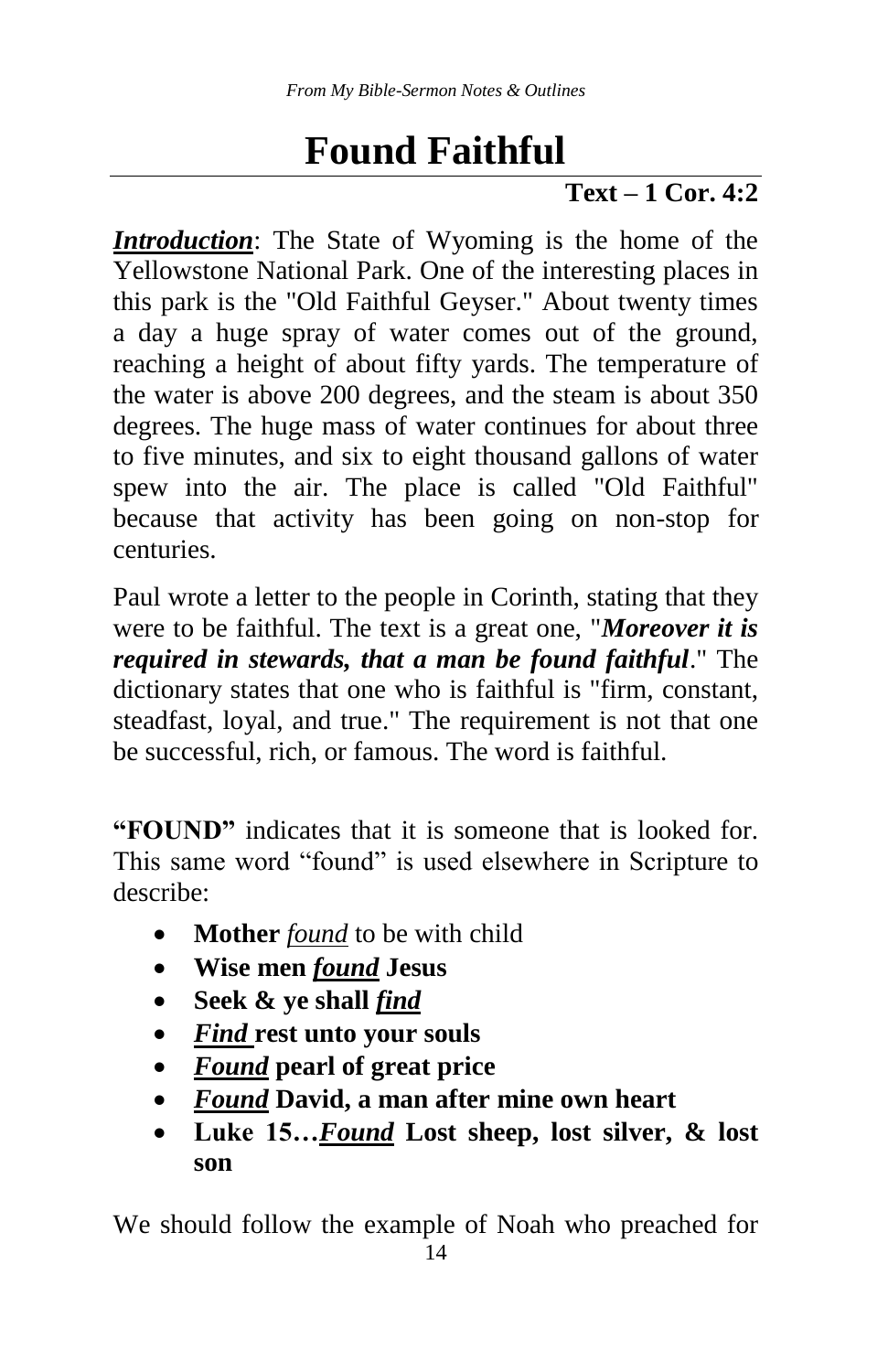# **Found Faithful**

# **Text – 1 Cor. 4:2**

<span id="page-13-0"></span>*Introduction*: The State of Wyoming is the home of the Yellowstone National Park. One of the interesting places in this park is the "Old Faithful Geyser." About twenty times a day a huge spray of water comes out of the ground, reaching a height of about fifty yards. The temperature of the water is above 200 degrees, and the steam is about 350 degrees. The huge mass of water continues for about three to five minutes, and six to eight thousand gallons of water spew into the air. The place is called "Old Faithful" because that activity has been going on non-stop for centuries.

Paul wrote a letter to the people in Corinth, stating that they were to be faithful. The text is a great one, "*Moreover it is required in stewards, that a man be found faithful*." The dictionary states that one who is faithful is "firm, constant, steadfast, loyal, and true." The requirement is not that one be successful, rich, or famous. The word is faithful.

**"FOUND"** indicates that it is someone that is looked for. This same word "found" is used elsewhere in Scripture to describe:

- **Mother** *found* to be with child
- **Wise men** *found* **Jesus**
- **Seek & ye shall** *find*
- *Find* **rest unto your souls**
- *Found* **pearl of great price**
- *Found* **David, a man after mine own heart**
- **Luke 15…***Found* **Lost sheep, lost silver, & lost son**

We should follow the example of Noah who preached for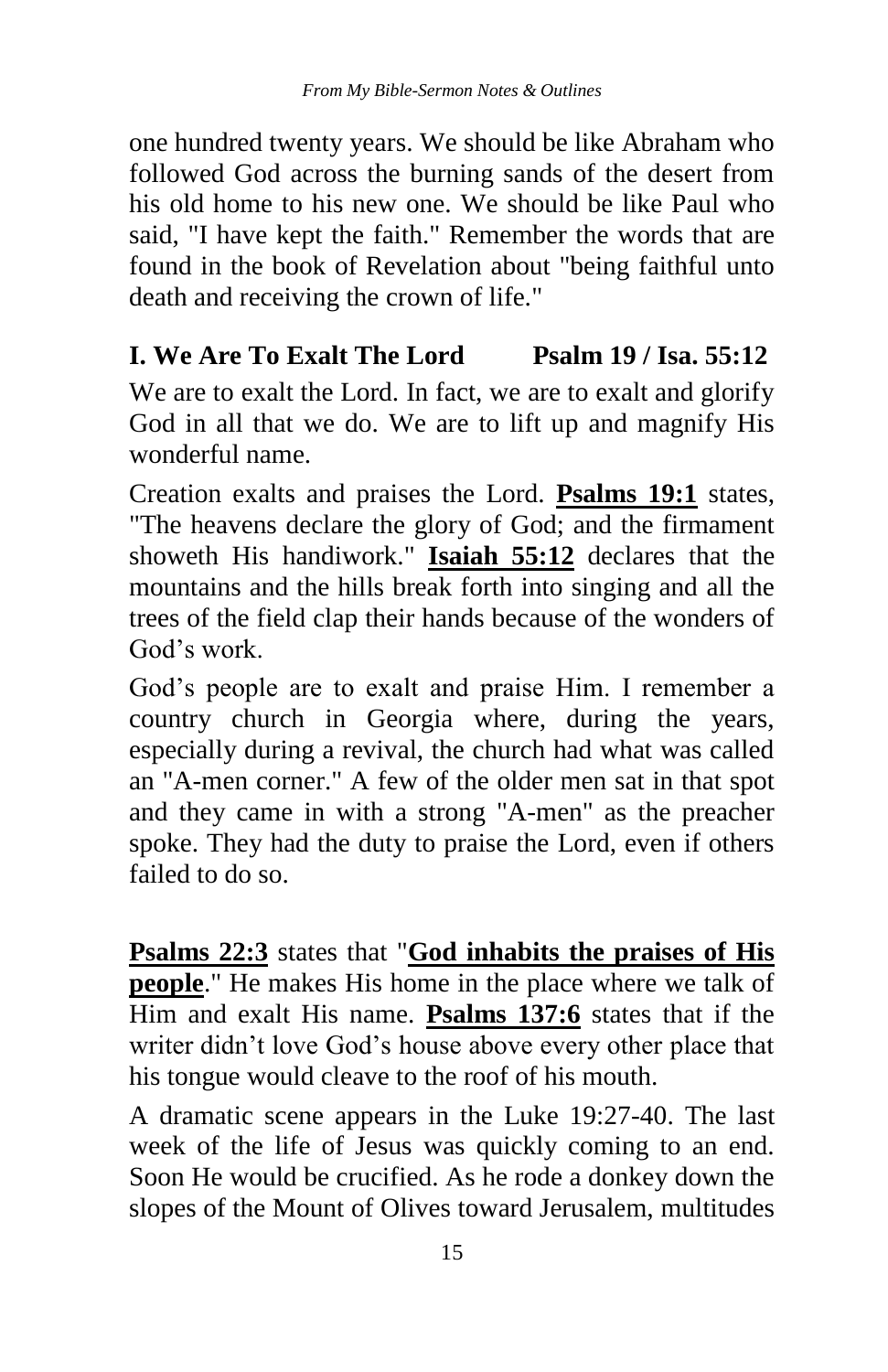one hundred twenty years. We should be like Abraham who followed God across the burning sands of the desert from his old home to his new one. We should be like Paul who said, "I have kept the faith." Remember the words that are found in the book of Revelation about "being faithful unto death and receiving the crown of life."

# **I. We Are To Exalt The Lord Psalm 19 / Isa. 55:12**

We are to exalt the Lord. In fact, we are to exalt and glorify God in all that we do. We are to lift up and magnify His wonderful name.

Creation exalts and praises the Lord. **Psalms 19:1** states, "The heavens declare the glory of God; and the firmament showeth His handiwork." **Isaiah 55:12** declares that the mountains and the hills break forth into singing and all the trees of the field clap their hands because of the wonders of God's work.

God's people are to exalt and praise Him. I remember a country church in Georgia where, during the years, especially during a revival, the church had what was called an "A-men corner." A few of the older men sat in that spot and they came in with a strong "A-men" as the preacher spoke. They had the duty to praise the Lord, even if others failed to do so.

**Psalms 22:3** states that "**God inhabits the praises of His people**." He makes His home in the place where we talk of Him and exalt His name. **Psalms 137:6** states that if the writer didn't love God's house above every other place that his tongue would cleave to the roof of his mouth.

A dramatic scene appears in the Luke 19:27-40. The last week of the life of Jesus was quickly coming to an end. Soon He would be crucified. As he rode a donkey down the slopes of the Mount of Olives toward Jerusalem, multitudes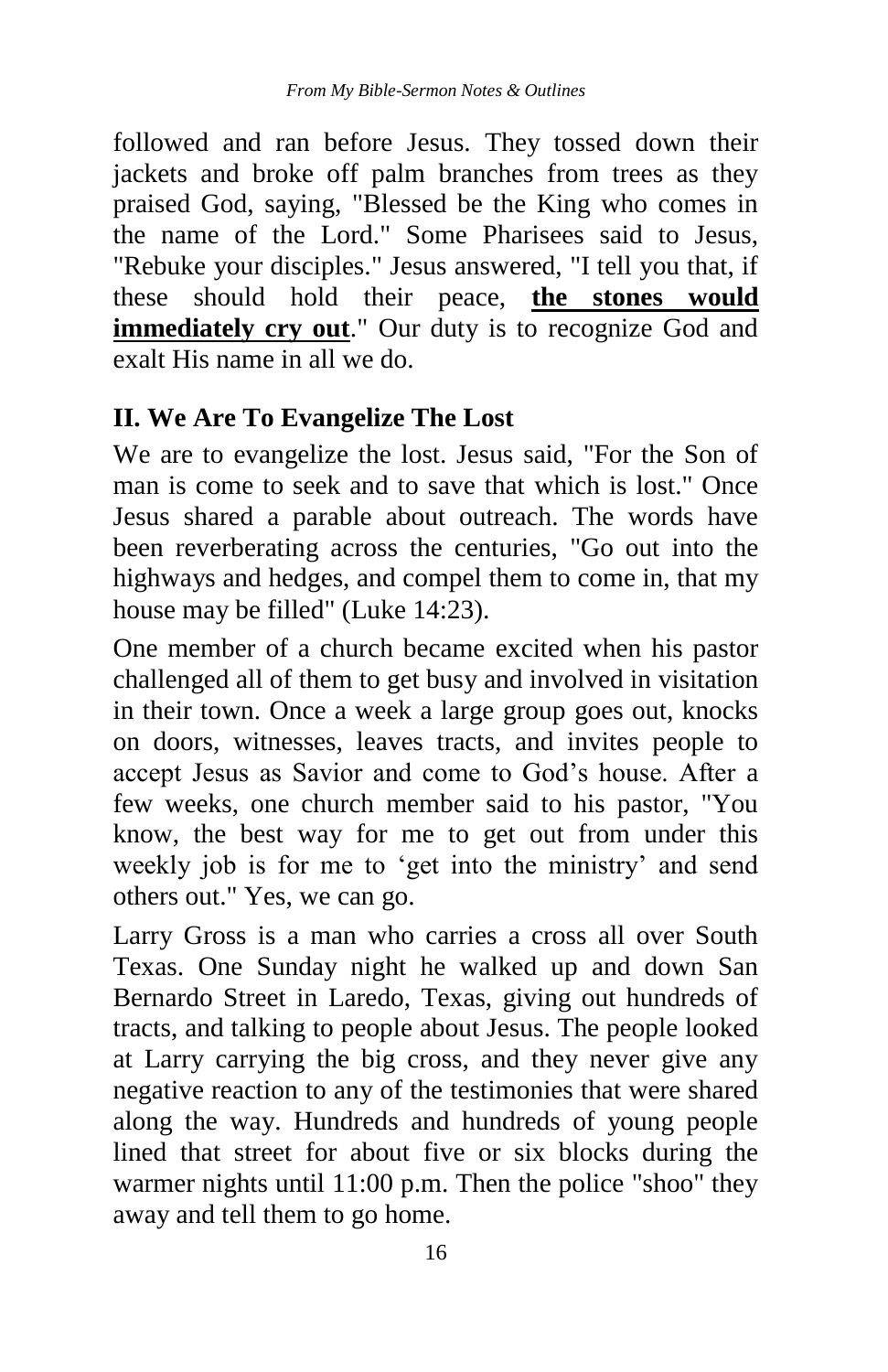followed and ran before Jesus. They tossed down their jackets and broke off palm branches from trees as they praised God, saying, "Blessed be the King who comes in the name of the Lord." Some Pharisees said to Jesus, "Rebuke your disciples." Jesus answered, "I tell you that, if these should hold their peace, **the stones would immediately cry out**." Our duty is to recognize God and exalt His name in all we do.

#### **II. We Are To Evangelize The Lost**

We are to evangelize the lost. Jesus said, "For the Son of man is come to seek and to save that which is lost." Once Jesus shared a parable about outreach. The words have been reverberating across the centuries, "Go out into the highways and hedges, and compel them to come in, that my house may be filled" (Luke 14:23).

One member of a church became excited when his pastor challenged all of them to get busy and involved in visitation in their town. Once a week a large group goes out, knocks on doors, witnesses, leaves tracts, and invites people to accept Jesus as Savior and come to God's house. After a few weeks, one church member said to his pastor, "You know, the best way for me to get out from under this weekly job is for me to 'get into the ministry' and send others out." Yes, we can go.

Larry Gross is a man who carries a cross all over South Texas. One Sunday night he walked up and down San Bernardo Street in Laredo, Texas, giving out hundreds of tracts, and talking to people about Jesus. The people looked at Larry carrying the big cross, and they never give any negative reaction to any of the testimonies that were shared along the way. Hundreds and hundreds of young people lined that street for about five or six blocks during the warmer nights until 11:00 p.m. Then the police "shoo" they away and tell them to go home.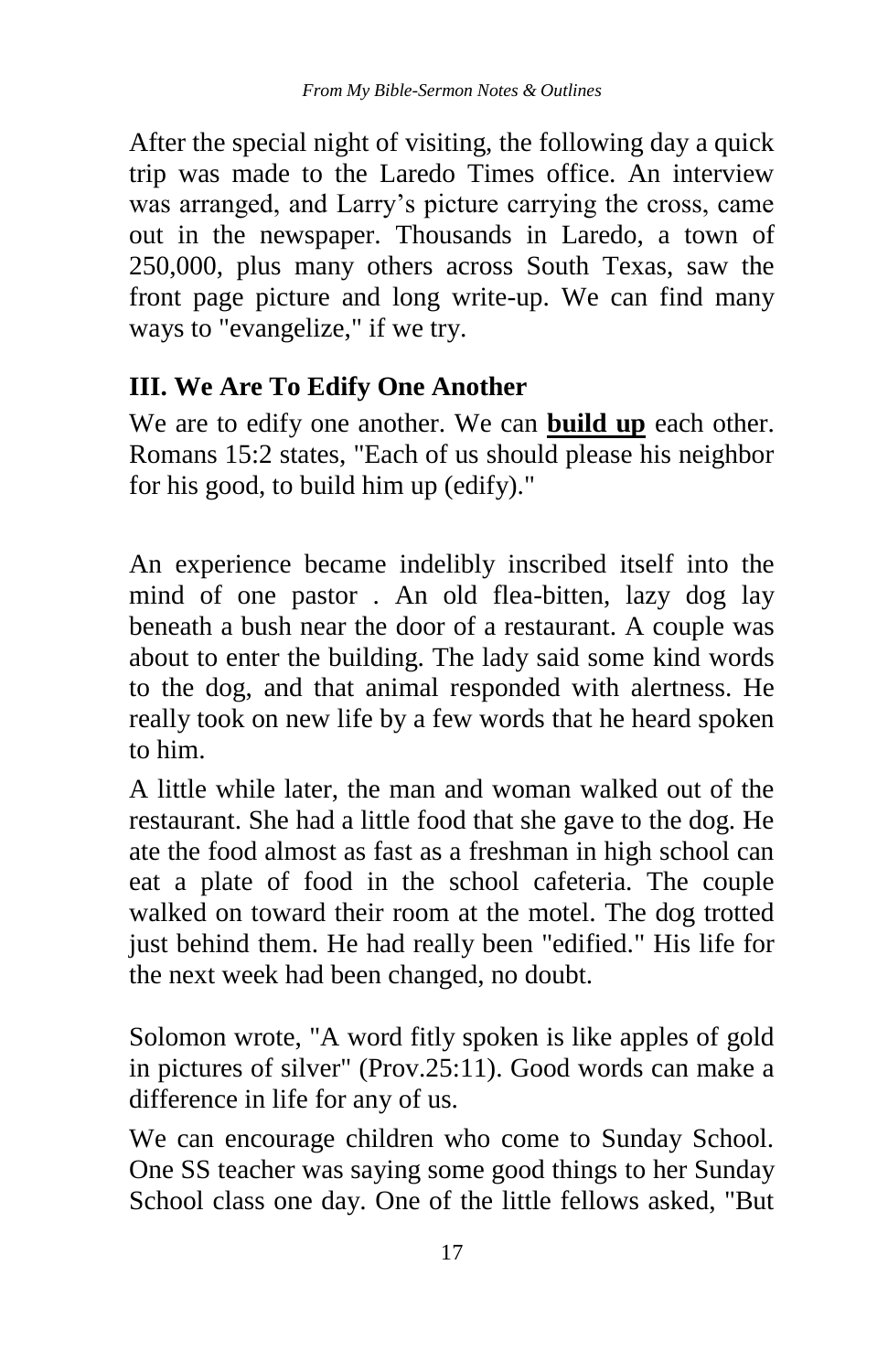After the special night of visiting, the following day a quick trip was made to the Laredo Times office. An interview was arranged, and Larry's picture carrying the cross, came out in the newspaper. Thousands in Laredo, a town of 250,000, plus many others across South Texas, saw the front page picture and long write-up. We can find many ways to "evangelize," if we try.

### **III. We Are To Edify One Another**

We are to edify one another. We can **build up** each other. Romans 15:2 states, "Each of us should please his neighbor for his good, to build him up (edify)."

An experience became indelibly inscribed itself into the mind of one pastor . An old flea-bitten, lazy dog lay beneath a bush near the door of a restaurant. A couple was about to enter the building. The lady said some kind words to the dog, and that animal responded with alertness. He really took on new life by a few words that he heard spoken to him.

A little while later, the man and woman walked out of the restaurant. She had a little food that she gave to the dog. He ate the food almost as fast as a freshman in high school can eat a plate of food in the school cafeteria. The couple walked on toward their room at the motel. The dog trotted just behind them. He had really been "edified." His life for the next week had been changed, no doubt.

Solomon wrote, "A word fitly spoken is like apples of gold in pictures of silver" (Prov.25:11). Good words can make a difference in life for any of us.

We can encourage children who come to Sunday School. One SS teacher was saying some good things to her Sunday School class one day. One of the little fellows asked, "But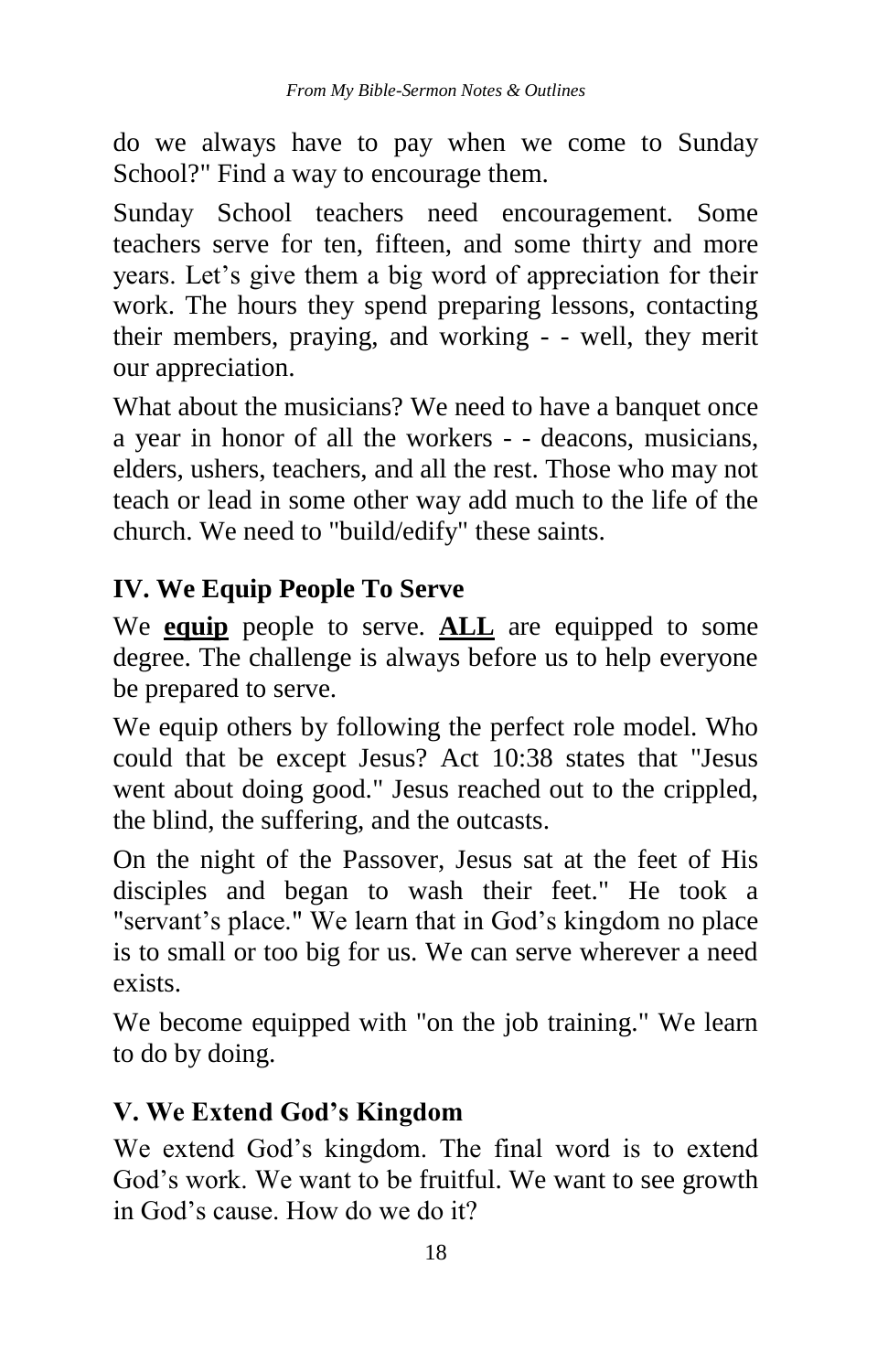do we always have to pay when we come to Sunday School?" Find a way to encourage them.

Sunday School teachers need encouragement. Some teachers serve for ten, fifteen, and some thirty and more years. Let's give them a big word of appreciation for their work. The hours they spend preparing lessons, contacting their members, praying, and working - - well, they merit our appreciation.

What about the musicians? We need to have a banquet once a year in honor of all the workers - - deacons, musicians, elders, ushers, teachers, and all the rest. Those who may not teach or lead in some other way add much to the life of the church. We need to "build/edify" these saints.

# **IV. We Equip People To Serve**

We **equip** people to serve. **ALL** are equipped to some degree. The challenge is always before us to help everyone be prepared to serve.

We equip others by following the perfect role model. Who could that be except Jesus? Act 10:38 states that "Jesus went about doing good." Jesus reached out to the crippled, the blind, the suffering, and the outcasts.

On the night of the Passover, Jesus sat at the feet of His disciples and began to wash their feet." He took a "servant's place." We learn that in God's kingdom no place is to small or too big for us. We can serve wherever a need exists.

We become equipped with "on the job training." We learn to do by doing.

# **V. We Extend God's Kingdom**

We extend God's kingdom. The final word is to extend God's work. We want to be fruitful. We want to see growth in God's cause. How do we do it?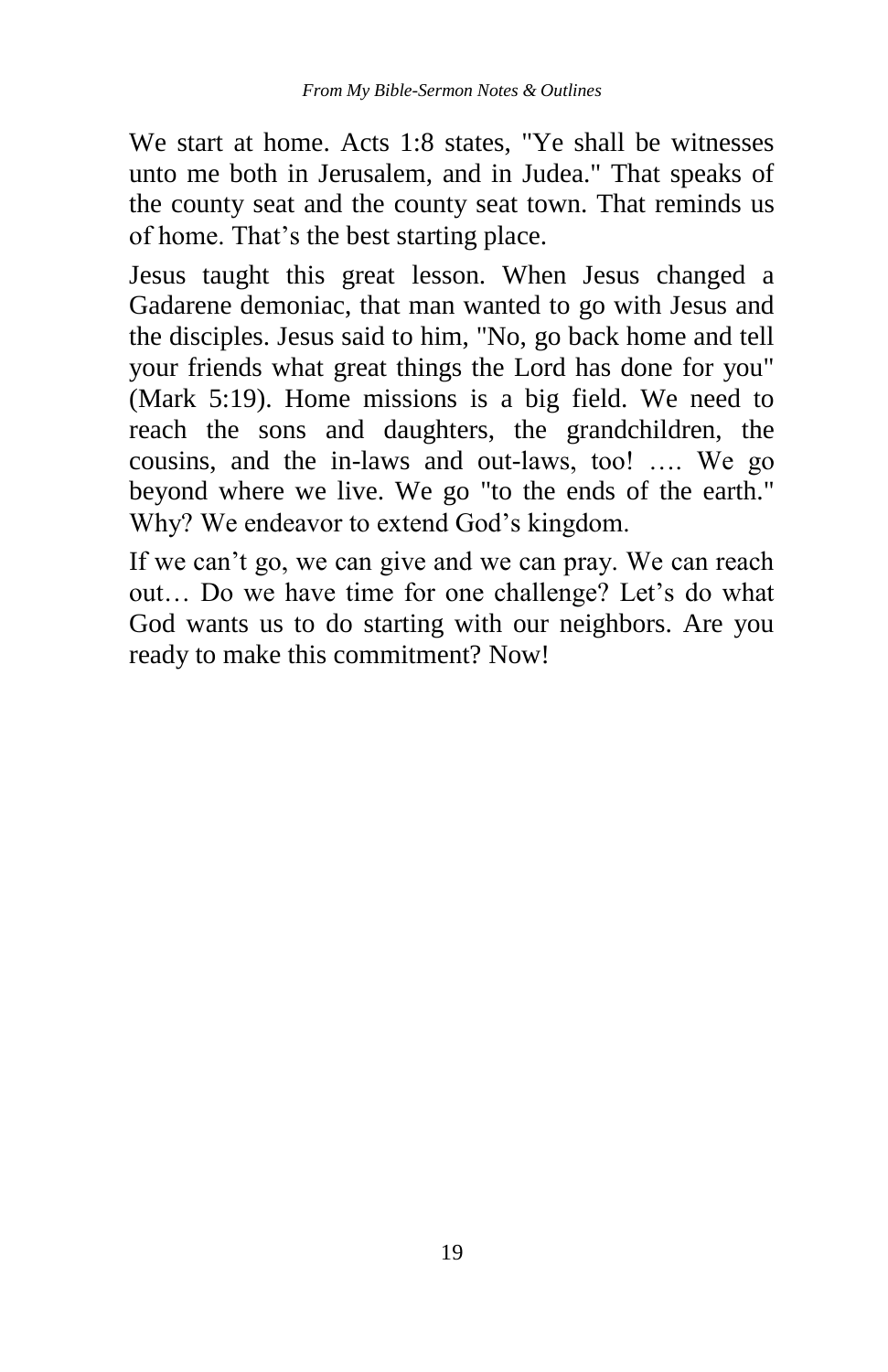We start at home. Acts 1:8 states, "Ye shall be witnesses unto me both in Jerusalem, and in Judea." That speaks of the county seat and the county seat town. That reminds us of home. That's the best starting place.

Jesus taught this great lesson. When Jesus changed a Gadarene demoniac, that man wanted to go with Jesus and the disciples. Jesus said to him, "No, go back home and tell your friends what great things the Lord has done for you" (Mark 5:19). Home missions is a big field. We need to reach the sons and daughters, the grandchildren, the cousins, and the in-laws and out-laws, too! …. We go beyond where we live. We go "to the ends of the earth." Why? We endeavor to extend God's kingdom.

If we can't go, we can give and we can pray. We can reach out… Do we have time for one challenge? Let's do what God wants us to do starting with our neighbors. Are you ready to make this commitment? Now!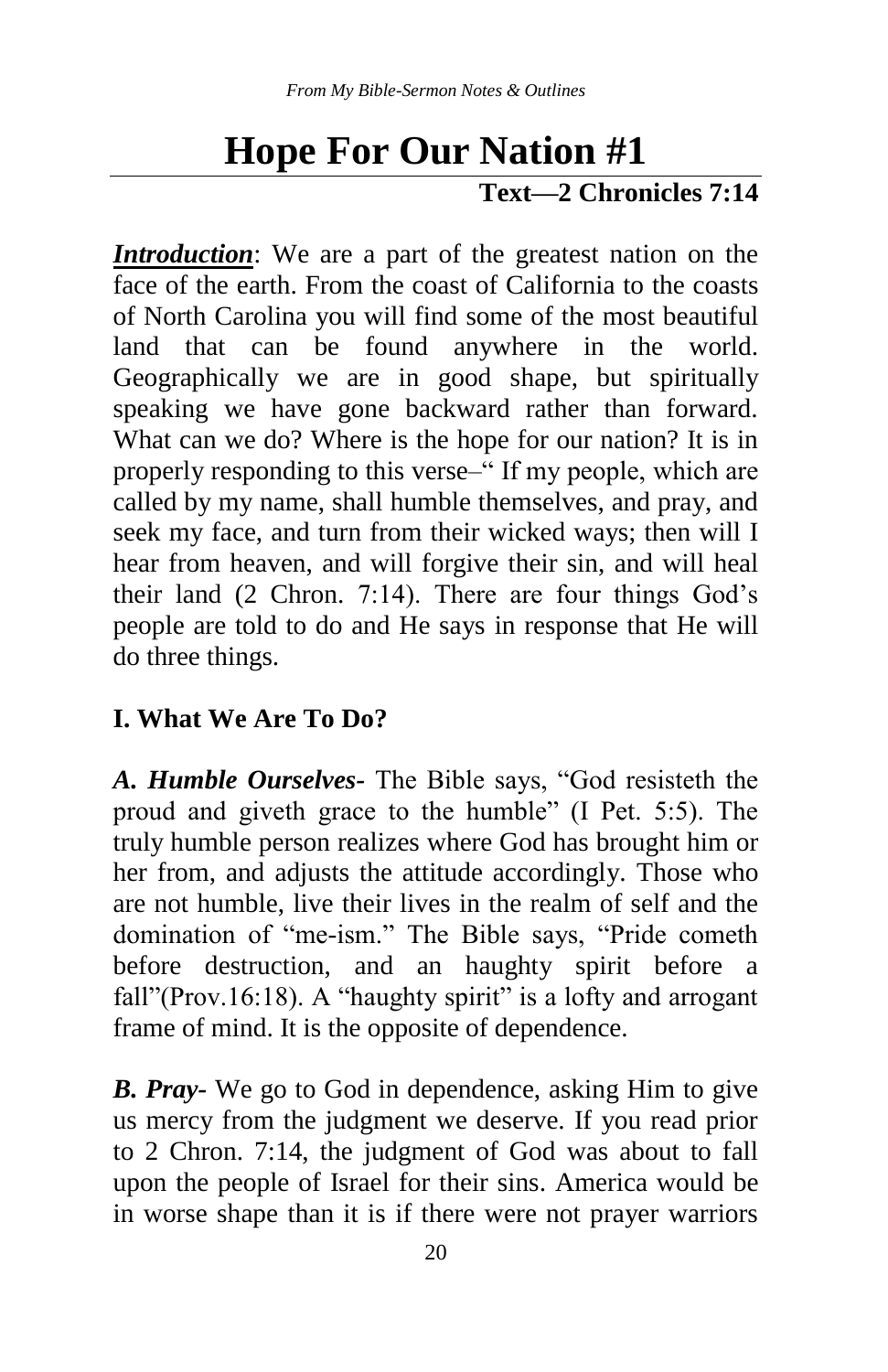# **Hope For Our Nation #1 Text—2 Chronicles 7:14**

<span id="page-19-0"></span>*Introduction*: We are a part of the greatest nation on the face of the earth. From the coast of California to the coasts of North Carolina you will find some of the most beautiful land that can be found anywhere in the world. Geographically we are in good shape, but spiritually speaking we have gone backward rather than forward. What can we do? Where is the hope for our nation? It is in properly responding to this verse–" If my people, which are called by my name, shall humble themselves, and pray, and seek my face, and turn from their wicked ways; then will I hear from heaven, and will forgive their sin, and will heal their land (2 Chron. 7:14). There are four things God's people are told to do and He says in response that He will do three things.

# **I. What We Are To Do?**

*A. Humble Ourselves-* The Bible says, "God resisteth the proud and giveth grace to the humble" (I Pet. 5:5). The truly humble person realizes where God has brought him or her from, and adjusts the attitude accordingly. Those who are not humble, live their lives in the realm of self and the domination of "me-ism." The Bible says, "Pride cometh before destruction, and an haughty spirit before a fall"(Prov.16:18). A "haughty spirit" is a lofty and arrogant frame of mind. It is the opposite of dependence.

*B. Pray-* We go to God in dependence, asking Him to give us mercy from the judgment we deserve. If you read prior to 2 Chron. 7:14, the judgment of God was about to fall upon the people of Israel for their sins. America would be in worse shape than it is if there were not prayer warriors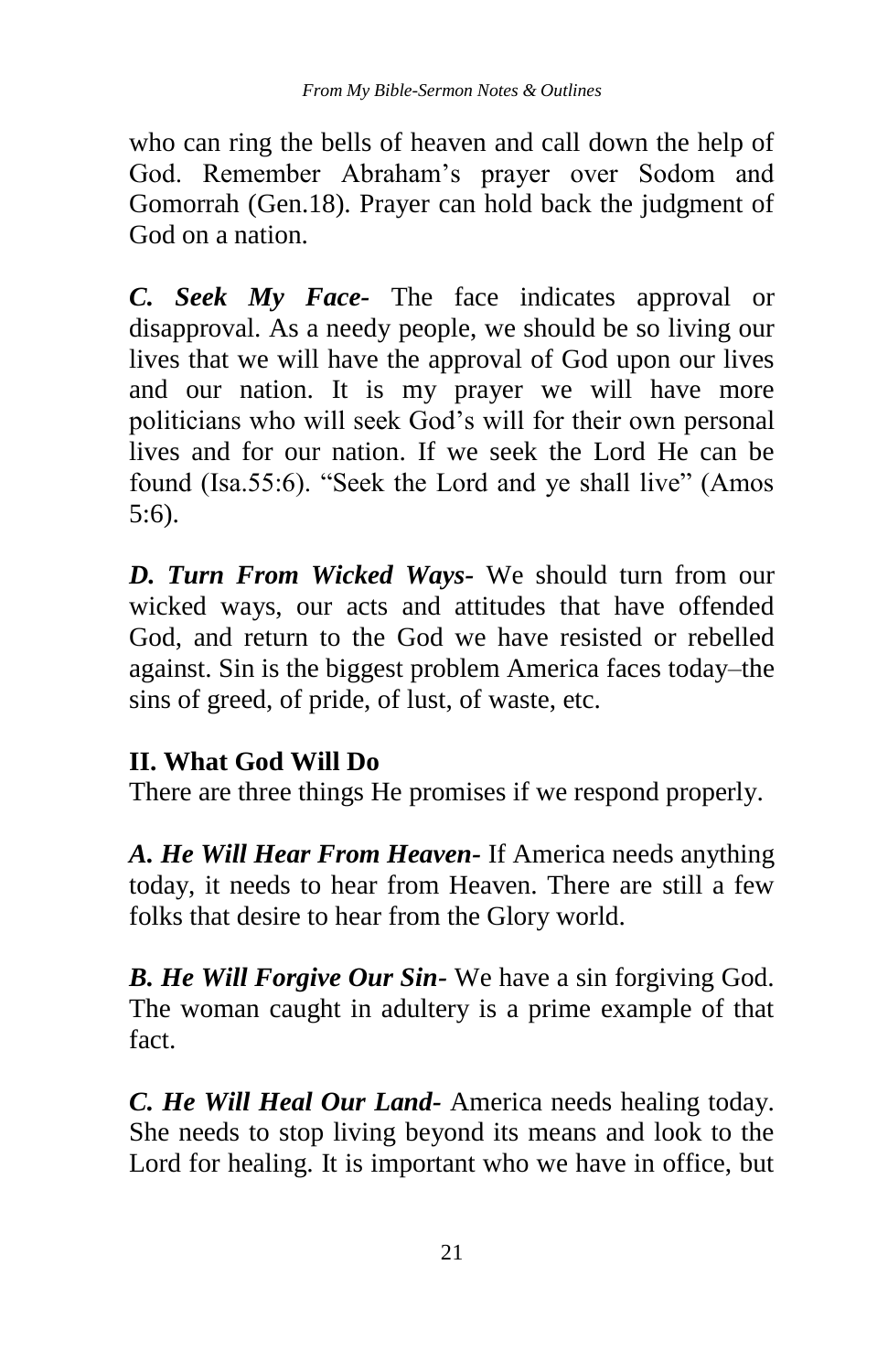who can ring the bells of heaven and call down the help of God. Remember Abraham's prayer over Sodom and Gomorrah (Gen.18). Prayer can hold back the judgment of God on a nation.

*C. Seek My Face-* The face indicates approval or disapproval. As a needy people, we should be so living our lives that we will have the approval of God upon our lives and our nation. It is my prayer we will have more politicians who will seek God's will for their own personal lives and for our nation. If we seek the Lord He can be found (Isa.55:6). "Seek the Lord and ye shall live" (Amos 5:6).

*D. Turn From Wicked Ways-* We should turn from our wicked ways, our acts and attitudes that have offended God, and return to the God we have resisted or rebelled against. Sin is the biggest problem America faces today–the sins of greed, of pride, of lust, of waste, etc.

# **II. What God Will Do**

There are three things He promises if we respond properly.

*A. He Will Hear From Heaven-* If America needs anything today, it needs to hear from Heaven. There are still a few folks that desire to hear from the Glory world.

*B. He Will Forgive Our Sin-* We have a sin forgiving God. The woman caught in adultery is a prime example of that fact.

*C. He Will Heal Our Land-* America needs healing today. She needs to stop living beyond its means and look to the Lord for healing. It is important who we have in office, but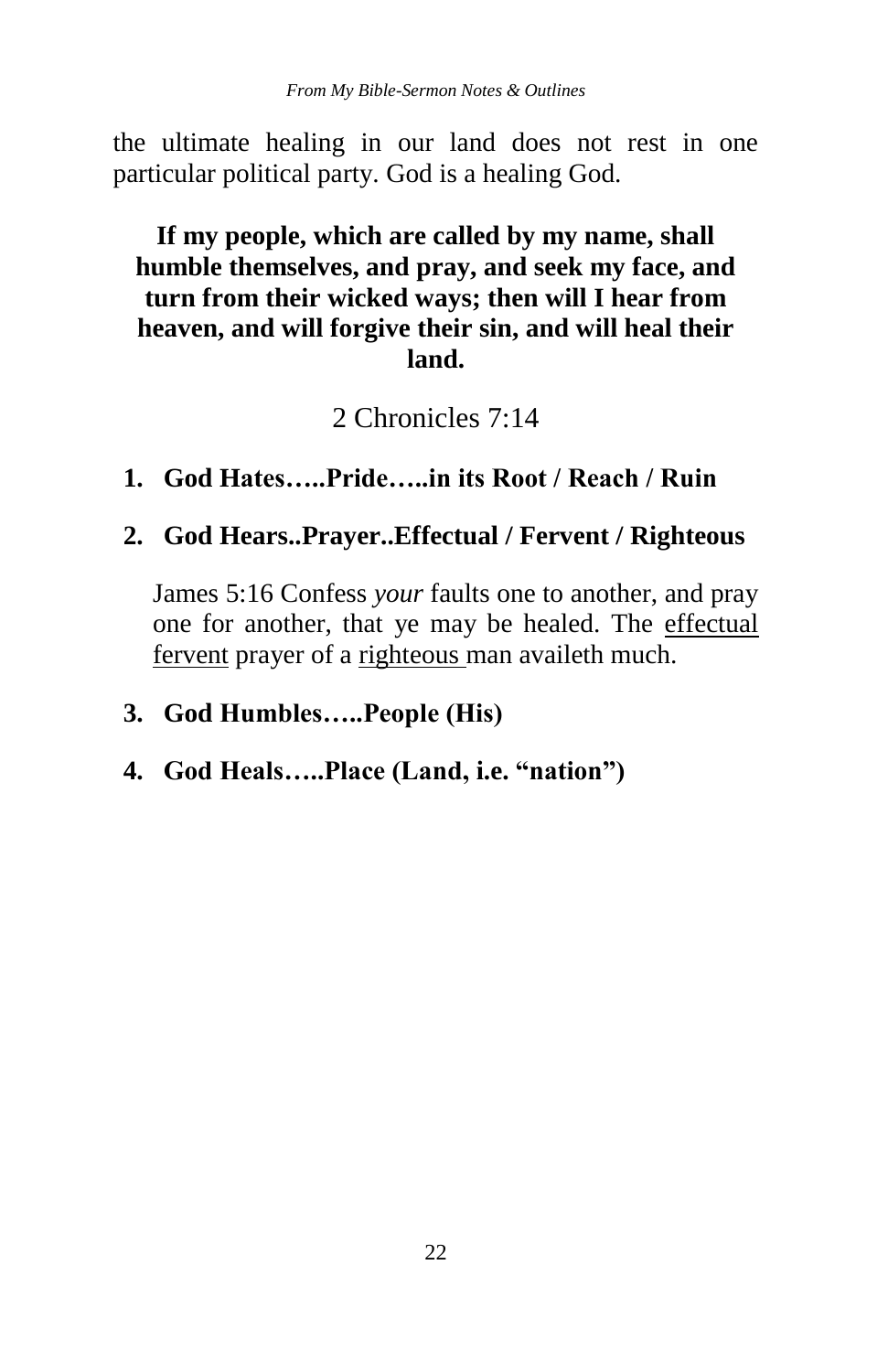the ultimate healing in our land does not rest in one particular political party. God is a healing God.

#### **If my people, which are called by my name, shall humble themselves, and pray, and seek my face, and turn from their wicked ways; then will I hear from heaven, and will forgive their sin, and will heal their land.**

2 Chronicles 7:14

**1. God Hates…..Pride…..in its Root / Reach / Ruin**

#### **2. God Hears..Prayer..Effectual / Fervent / Righteous**

James 5:16 Confess *your* faults one to another, and pray one for another, that ye may be healed. The effectual fervent prayer of a righteous man availeth much.

#### **3. God Humbles…..People (His)**

#### **4. God Heals…..Place (Land, i.e. "nation")**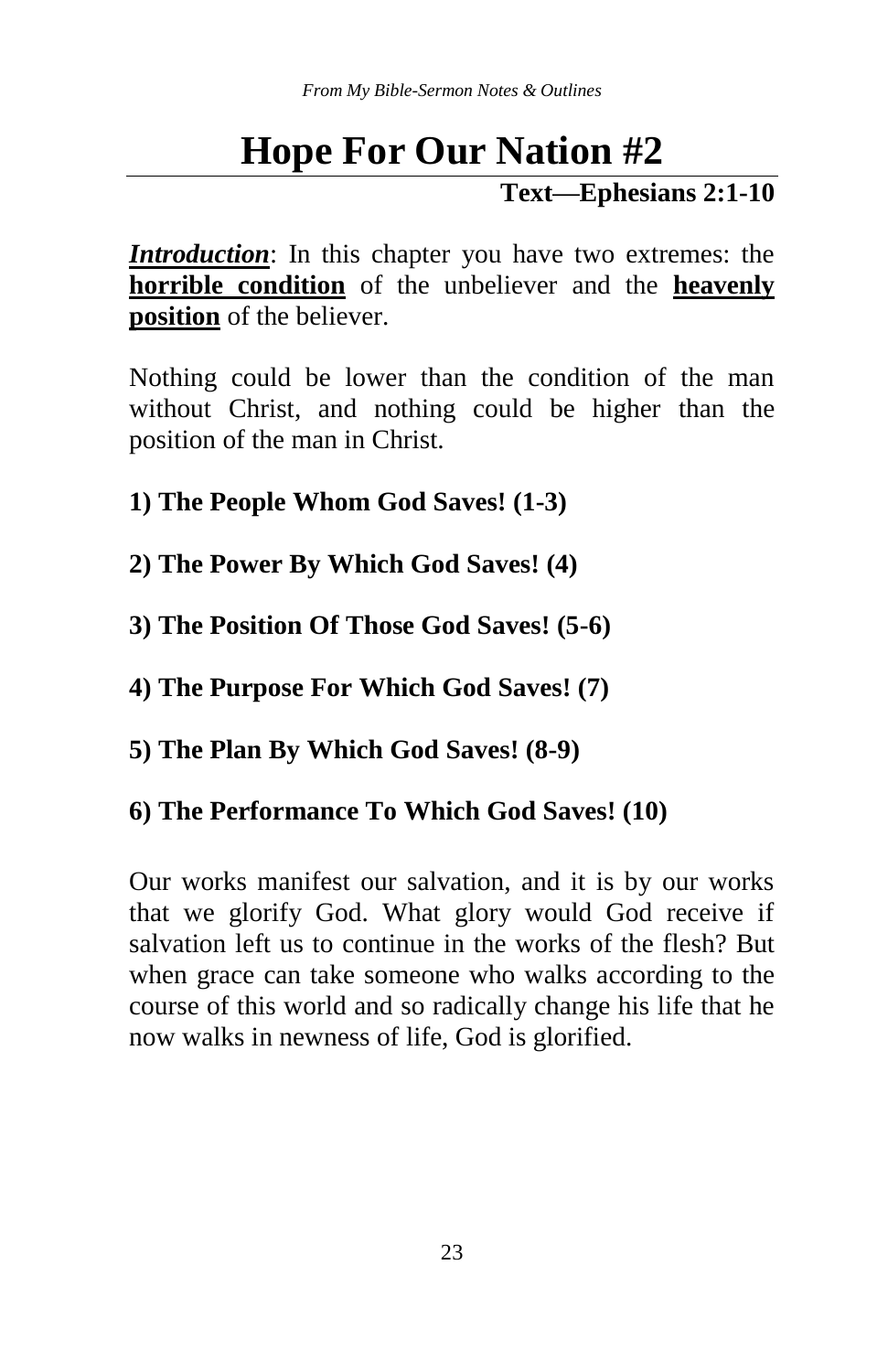# **Hope For Our Nation #2**

**Text—Ephesians 2:1-10**

<span id="page-22-0"></span>*Introduction*: In this chapter you have two extremes: the **horrible condition** of the unbeliever and the **heavenly position** of the believer.

Nothing could be lower than the condition of the man without Christ, and nothing could be higher than the position of the man in Christ.

**1) The People Whom God Saves! (1-3)** 

- **2) The Power By Which God Saves! (4)**
- **3) The Position Of Those God Saves! (5-6)**

**4) The Purpose For Which God Saves! (7)** 

**5) The Plan By Which God Saves! (8-9)** 

#### **6) The Performance To Which God Saves! (10)**

Our works manifest our salvation, and it is by our works that we glorify God. What glory would God receive if salvation left us to continue in the works of the flesh? But when grace can take someone who walks according to the course of this world and so radically change his life that he now walks in newness of life, God is glorified.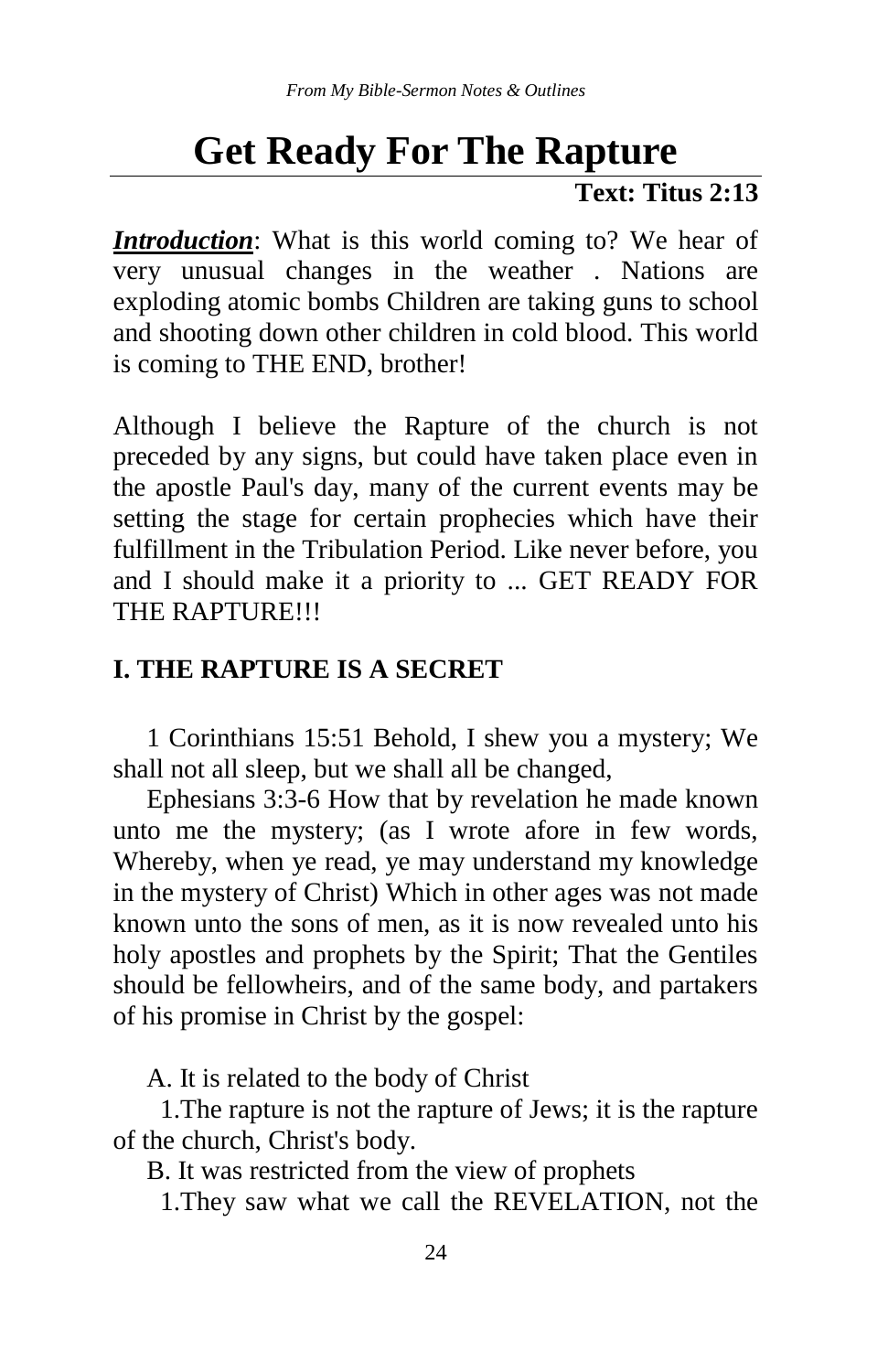# <span id="page-23-0"></span>**Get Ready For The Rapture**

#### **Text: Titus 2:13**

*Introduction*: What is this world coming to? We hear of very unusual changes in the weather . Nations are exploding atomic bombs Children are taking guns to school and shooting down other children in cold blood. This world is coming to THE END, brother!

Although I believe the Rapture of the church is not preceded by any signs, but could have taken place even in the apostle Paul's day, many of the current events may be setting the stage for certain prophecies which have their fulfillment in the Tribulation Period. Like never before, you and I should make it a priority to ... GET READY FOR THE RAPTURE!!!

#### **I. THE RAPTURE IS A SECRET**

 1 Corinthians 15:51 Behold, I shew you a mystery; We shall not all sleep, but we shall all be changed,

 Ephesians 3:3-6 How that by revelation he made known unto me the mystery; (as I wrote afore in few words, Whereby, when ye read, ye may understand my knowledge in the mystery of Christ) Which in other ages was not made known unto the sons of men, as it is now revealed unto his holy apostles and prophets by the Spirit; That the Gentiles should be fellowheirs, and of the same body, and partakers of his promise in Christ by the gospel:

A. It is related to the body of Christ

 1.The rapture is not the rapture of Jews; it is the rapture of the church, Christ's body.

B. It was restricted from the view of prophets

1.They saw what we call the REVELATION, not the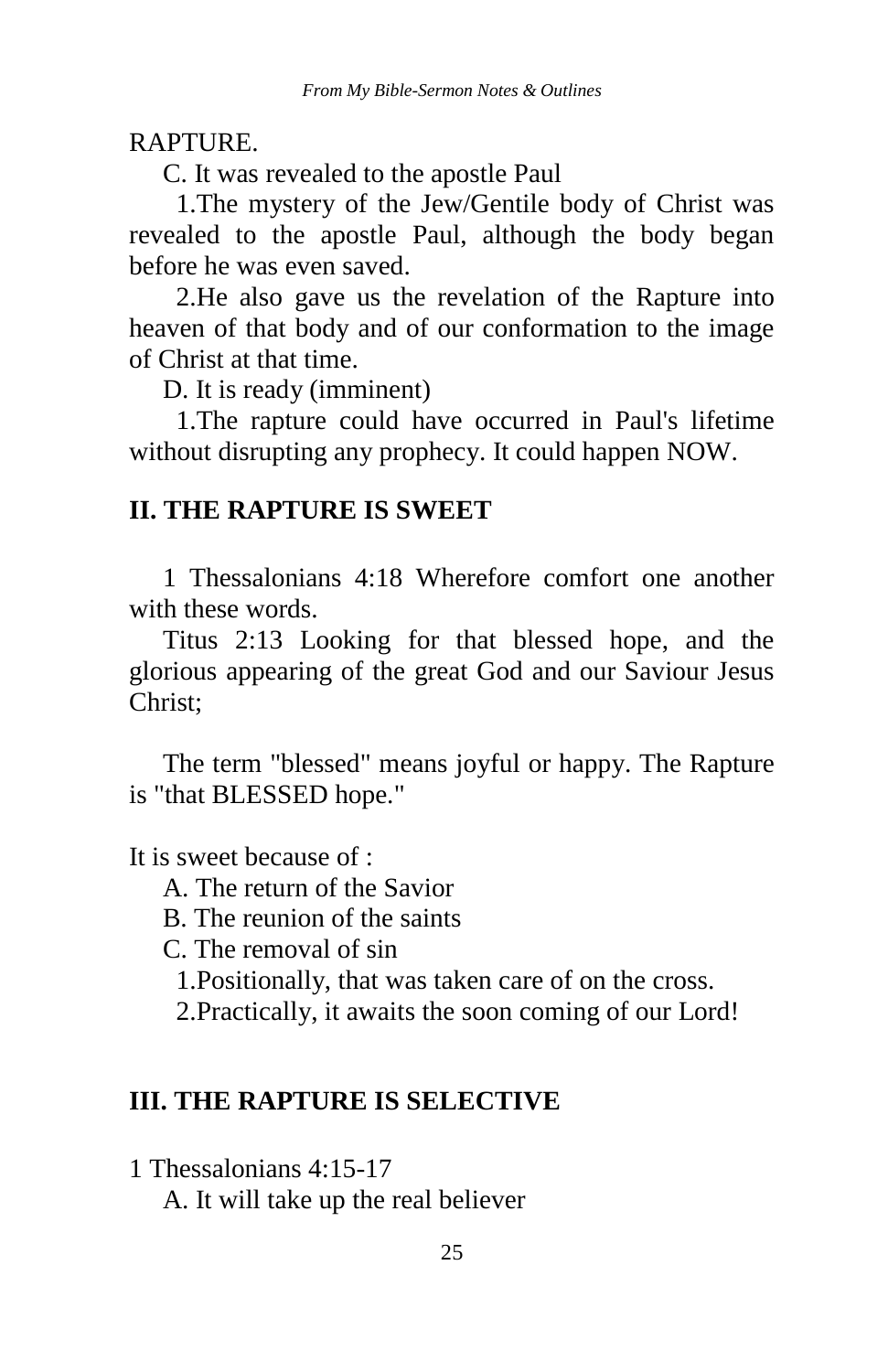RAPTURE.

C. It was revealed to the apostle Paul

 1.The mystery of the Jew/Gentile body of Christ was revealed to the apostle Paul, although the body began before he was even saved.

 2.He also gave us the revelation of the Rapture into heaven of that body and of our conformation to the image of Christ at that time.

D. It is ready (imminent)

 1.The rapture could have occurred in Paul's lifetime without disrupting any prophecy. It could happen NOW.

#### **II. THE RAPTURE IS SWEET**

 1 Thessalonians 4:18 Wherefore comfort one another with these words.

 Titus 2:13 Looking for that blessed hope, and the glorious appearing of the great God and our Saviour Jesus Christ;

 The term "blessed" means joyful or happy. The Rapture is "that BLESSED hope."

It is sweet because of :

A. The return of the Savior

B. The reunion of the saints

C. The removal of sin

1.Positionally, that was taken care of on the cross.

2.Practically, it awaits the soon coming of our Lord!

#### **III. THE RAPTURE IS SELECTIVE**

1 Thessalonians 4:15-17

A. It will take up the real believer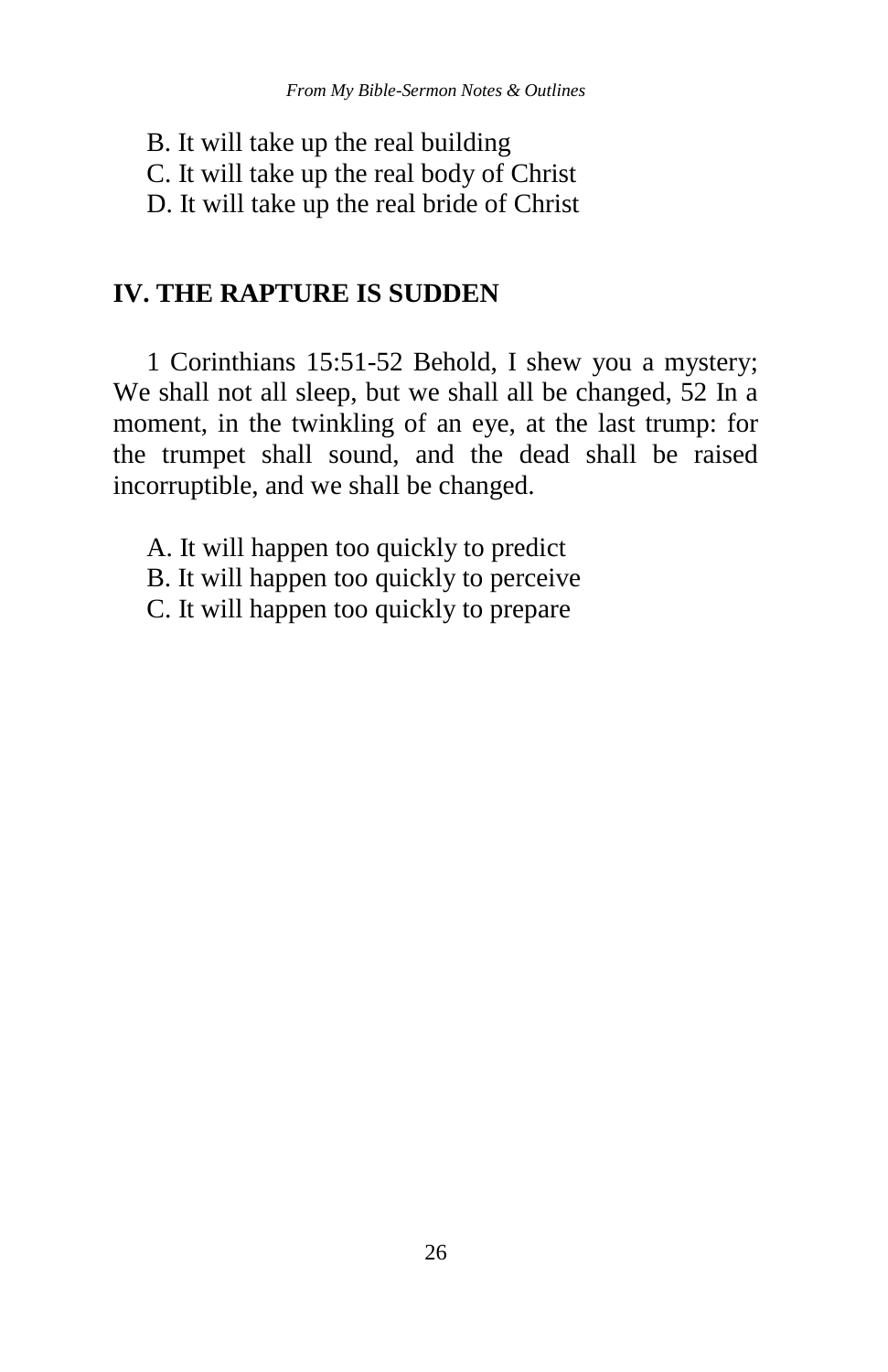- B. It will take up the real building
- C. It will take up the real body of Christ
- D. It will take up the real bride of Christ

#### **IV. THE RAPTURE IS SUDDEN**

 1 Corinthians 15:51-52 Behold, I shew you a mystery; We shall not all sleep, but we shall all be changed, 52 In a moment, in the twinkling of an eye, at the last trump: for the trumpet shall sound, and the dead shall be raised incorruptible, and we shall be changed.

- A. It will happen too quickly to predict
- B. It will happen too quickly to perceive
- C. It will happen too quickly to prepare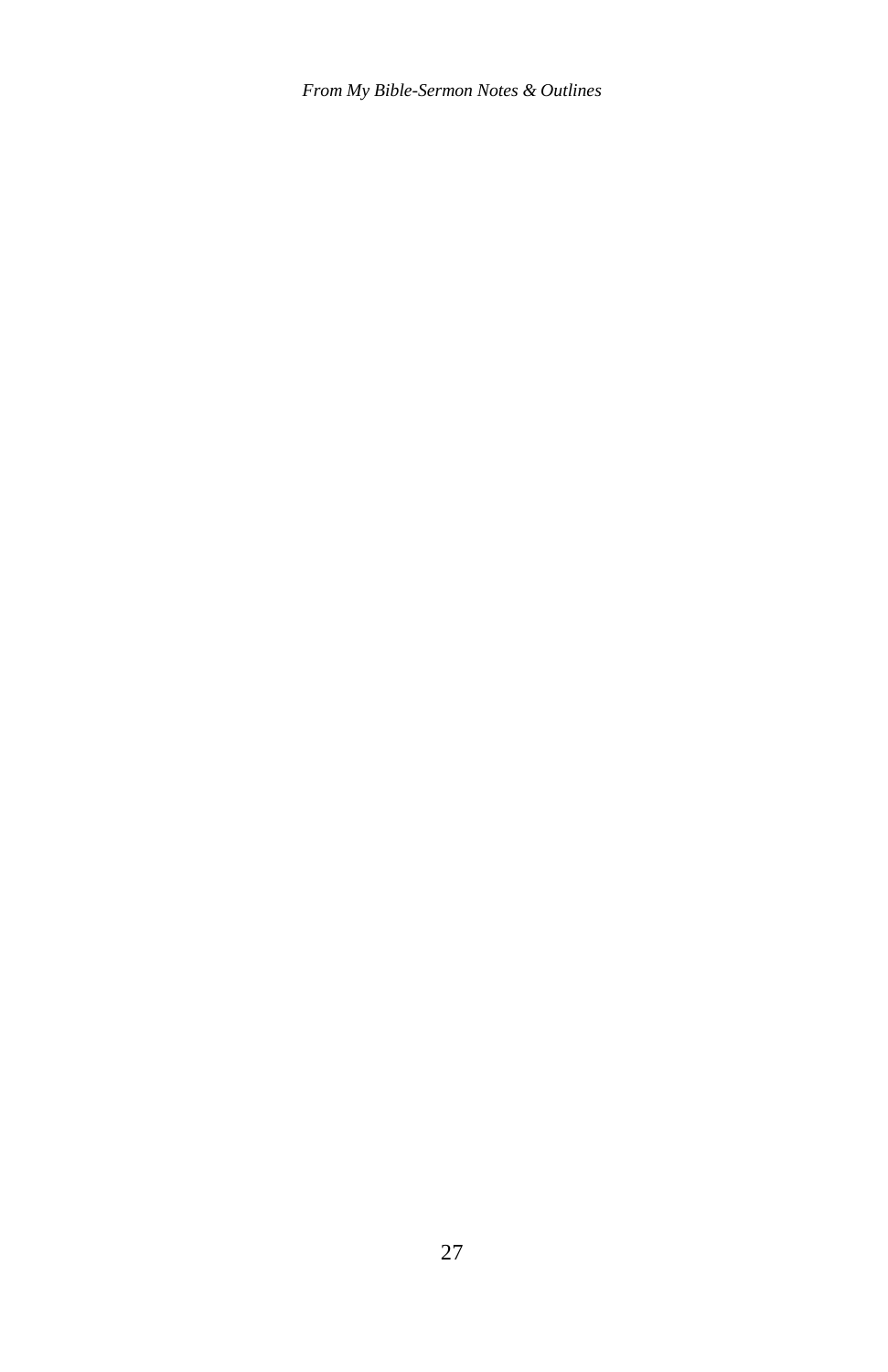*From My Bible-Sermon Notes & Outlines*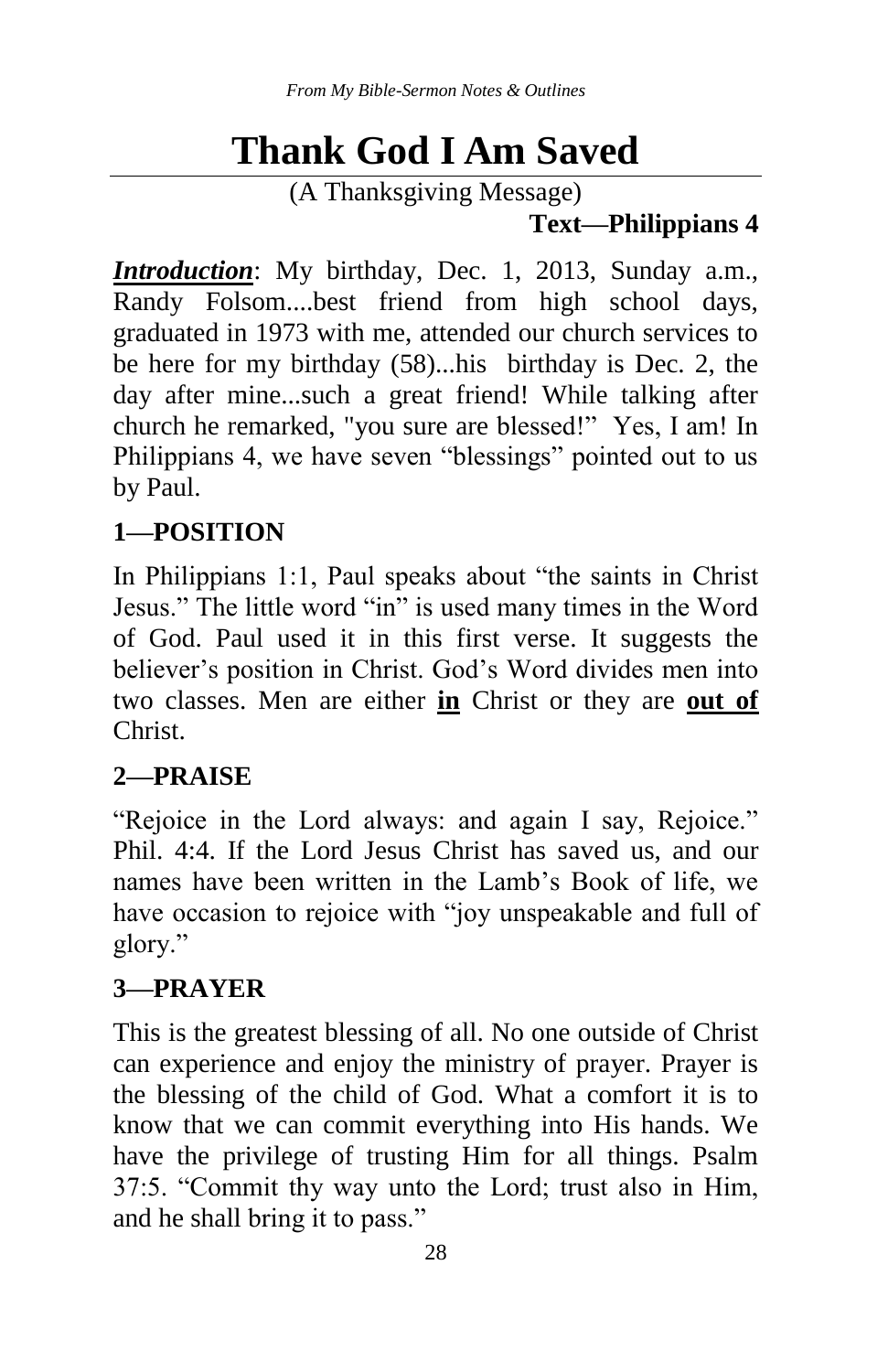# **Thank God I Am Saved**

(A Thanksgiving Message)

**Text—Philippians 4**

*Introduction*: My birthday, Dec. 1, 2013, Sunday a.m., Randy Folsom....best friend from high school days, graduated in 1973 with me, attended our church services to be here for my birthday (58)...his birthday is Dec. 2, the day after mine...such a great friend! While talking after church he remarked, "you sure are blessed!" Yes, I am! In Philippians 4, we have seven "blessings" pointed out to us by Paul.

# **1—POSITION**

In Philippians 1:1, Paul speaks about "the saints in Christ Jesus." The little word "in" is used many times in the Word of God. Paul used it in this first verse. It suggests the believer's position in Christ. God's Word divides men into two classes. Men are either **in** Christ or they are **out of** Christ.

# **2—PRAISE**

"Rejoice in the Lord always: and again I say, Rejoice." Phil. 4:4. If the Lord Jesus Christ has saved us, and our names have been written in the Lamb's Book of life, we have occasion to rejoice with "joy unspeakable and full of glory."

# **3—PRAYER**

This is the greatest blessing of all. No one outside of Christ can experience and enjoy the ministry of prayer. Prayer is the blessing of the child of God. What a comfort it is to know that we can commit everything into His hands. We have the privilege of trusting Him for all things. Psalm 37:5. "Commit thy way unto the Lord; trust also in Him, and he shall bring it to pass."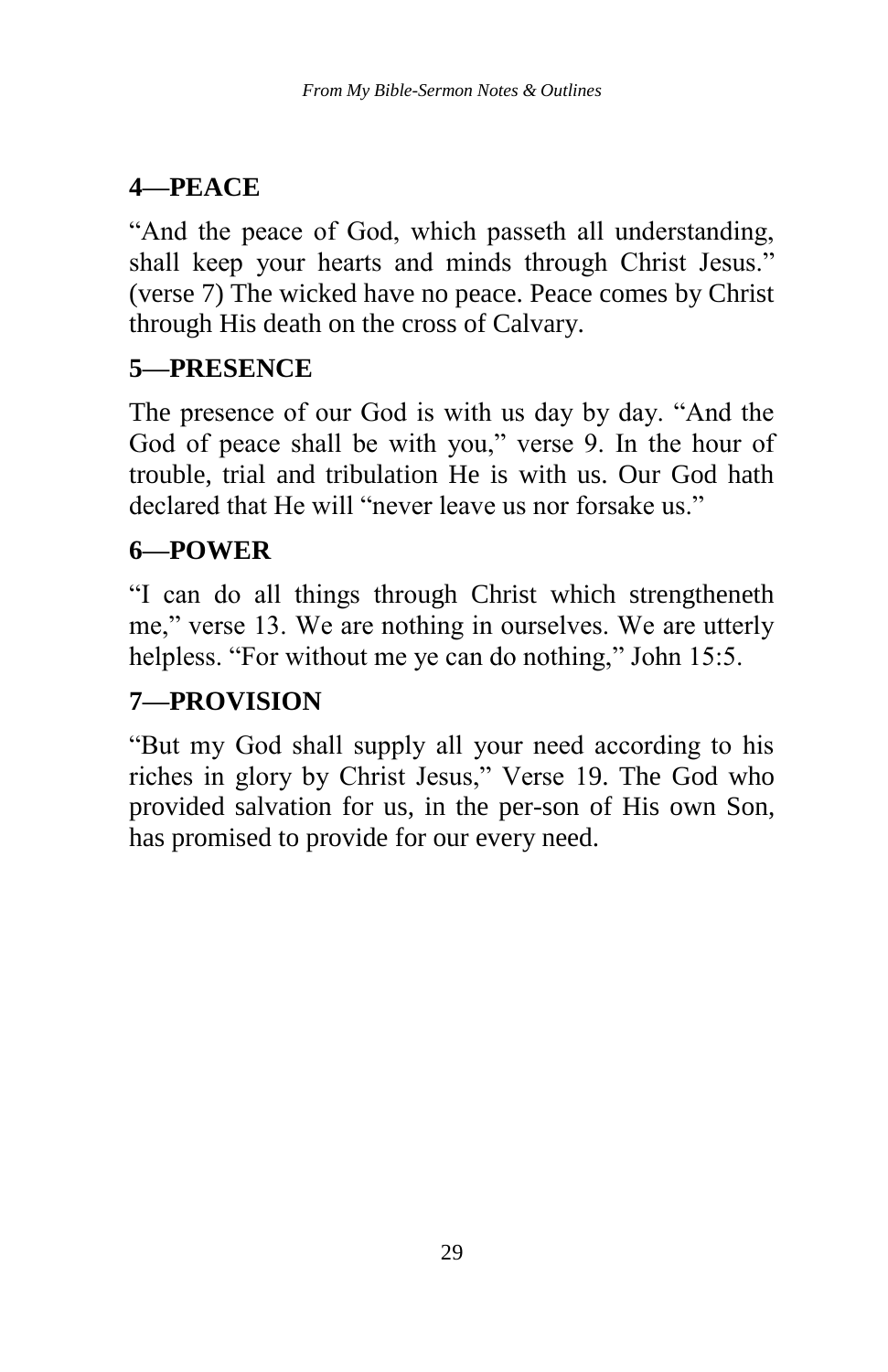### **4—PEACE**

"And the peace of God, which passeth all understanding, shall keep your hearts and minds through Christ Jesus." (verse 7) The wicked have no peace. Peace comes by Christ through His death on the cross of Calvary.

### **5—PRESENCE**

The presence of our God is with us day by day. "And the God of peace shall be with you," verse 9. In the hour of trouble, trial and tribulation He is with us. Our God hath declared that He will "never leave us nor forsake us."

### **6—POWER**

"I can do all things through Christ which strengtheneth me," verse 13. We are nothing in ourselves. We are utterly helpless. "For without me ye can do nothing," John 15:5.

#### **7—PROVISION**

"But my God shall supply all your need according to his riches in glory by Christ Jesus," Verse 19. The God who provided salvation for us, in the per-son of His own Son, has promised to provide for our every need.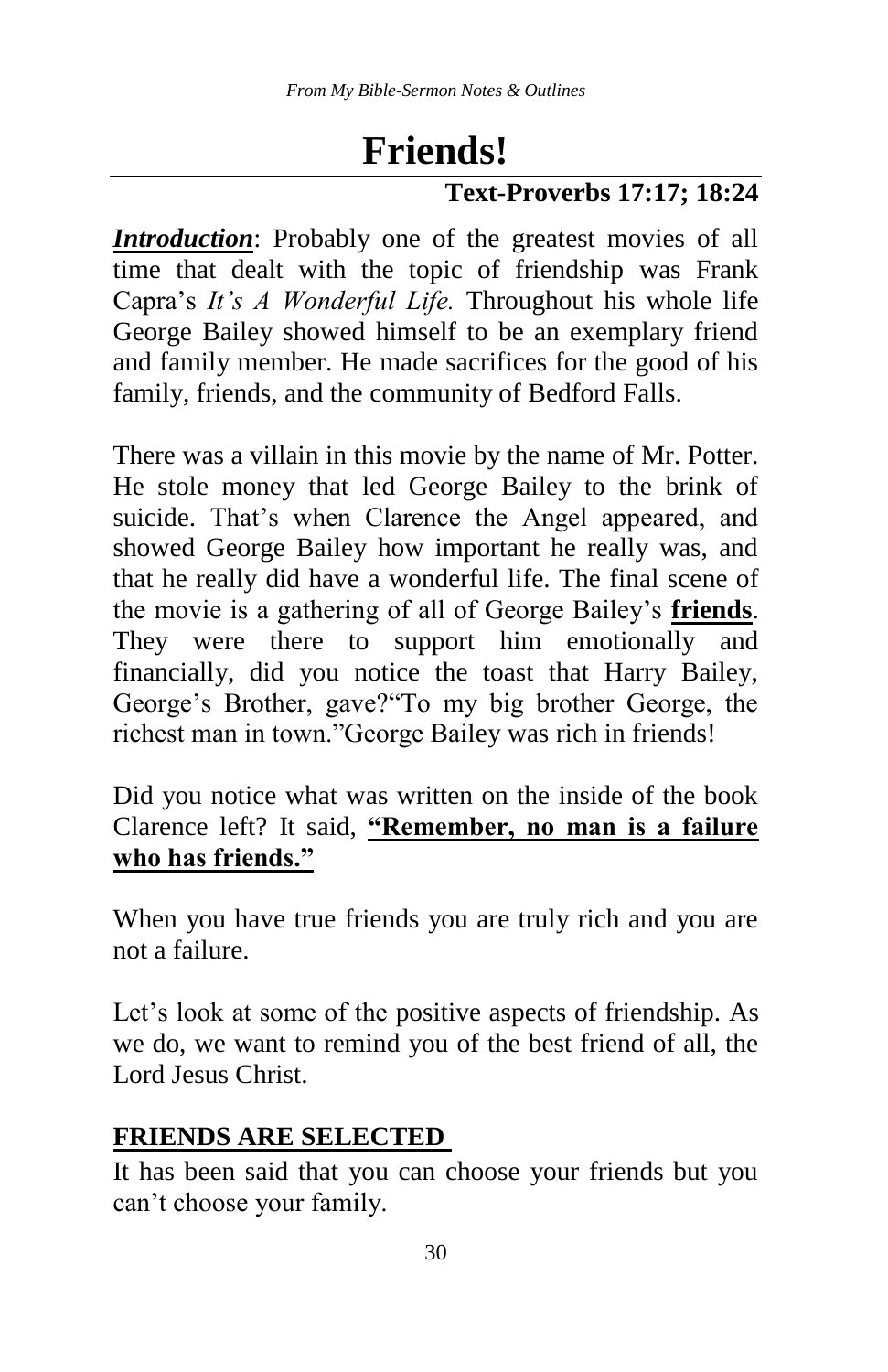# **Friends!**

### **Text-Proverbs 17:17; 18:24**

<span id="page-29-0"></span>*Introduction*: Probably one of the greatest movies of all time that dealt with the topic of friendship was Frank Capra's *It's A Wonderful Life.* Throughout his whole life George Bailey showed himself to be an exemplary friend and family member. He made sacrifices for the good of his family, friends, and the community of Bedford Falls.

There was a villain in this movie by the name of Mr. Potter. He stole money that led George Bailey to the brink of suicide. That's when Clarence the Angel appeared, and showed George Bailey how important he really was, and that he really did have a wonderful life. The final scene of the movie is a gathering of all of George Bailey's **friends**. They were there to support him emotionally and financially, did you notice the toast that Harry Bailey, George's Brother, gave?"To my big brother George, the richest man in town."George Bailey was rich in friends!

Did you notice what was written on the inside of the book Clarence left? It said, **"Remember, no man is a failure who has friends."**

When you have true friends you are truly rich and you are not a failure.

Let's look at some of the positive aspects of friendship. As we do, we want to remind you of the best friend of all, the Lord Jesus Christ.

# **FRIENDS ARE SELECTED**

It has been said that you can choose your friends but you can't choose your family.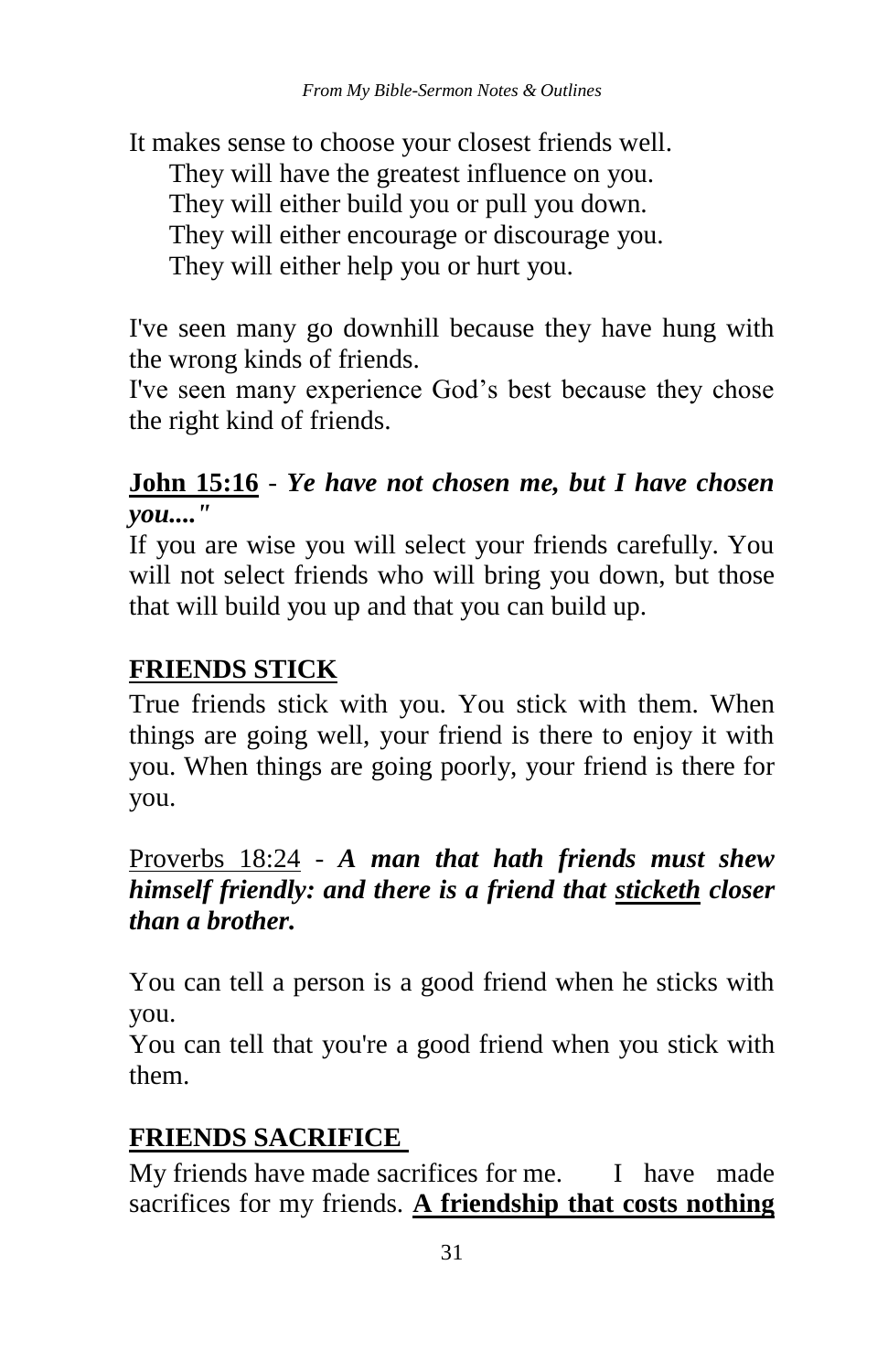It makes sense to choose your closest friends well.

They will have the greatest influence on you.

They will either build you or pull you down.

They will either encourage or discourage you.

They will either help you or hurt you.

I've seen many go downhill because they have hung with the wrong kinds of friends.

I've seen many experience God's best because they chose the right kind of friends.

### **John 15:16** - *Ye have not chosen me, but I have chosen you...."*

If you are wise you will select your friends carefully. You will not select friends who will bring you down, but those that will build you up and that you can build up.

# **FRIENDS STICK**

True friends stick with you. You stick with them. When things are going well, your friend is there to enjoy it with you. When things are going poorly, your friend is there for you.

### Proverbs 18:24 - *A man that hath friends must shew himself friendly: and there is a friend that sticketh closer than a brother.*

You can tell a person is a good friend when he sticks with you.

You can tell that you're a good friend when you stick with them.

# **FRIENDS SACRIFICE**

My friends have made sacrifices for me. I have made sacrifices for my friends. **A friendship that costs nothing**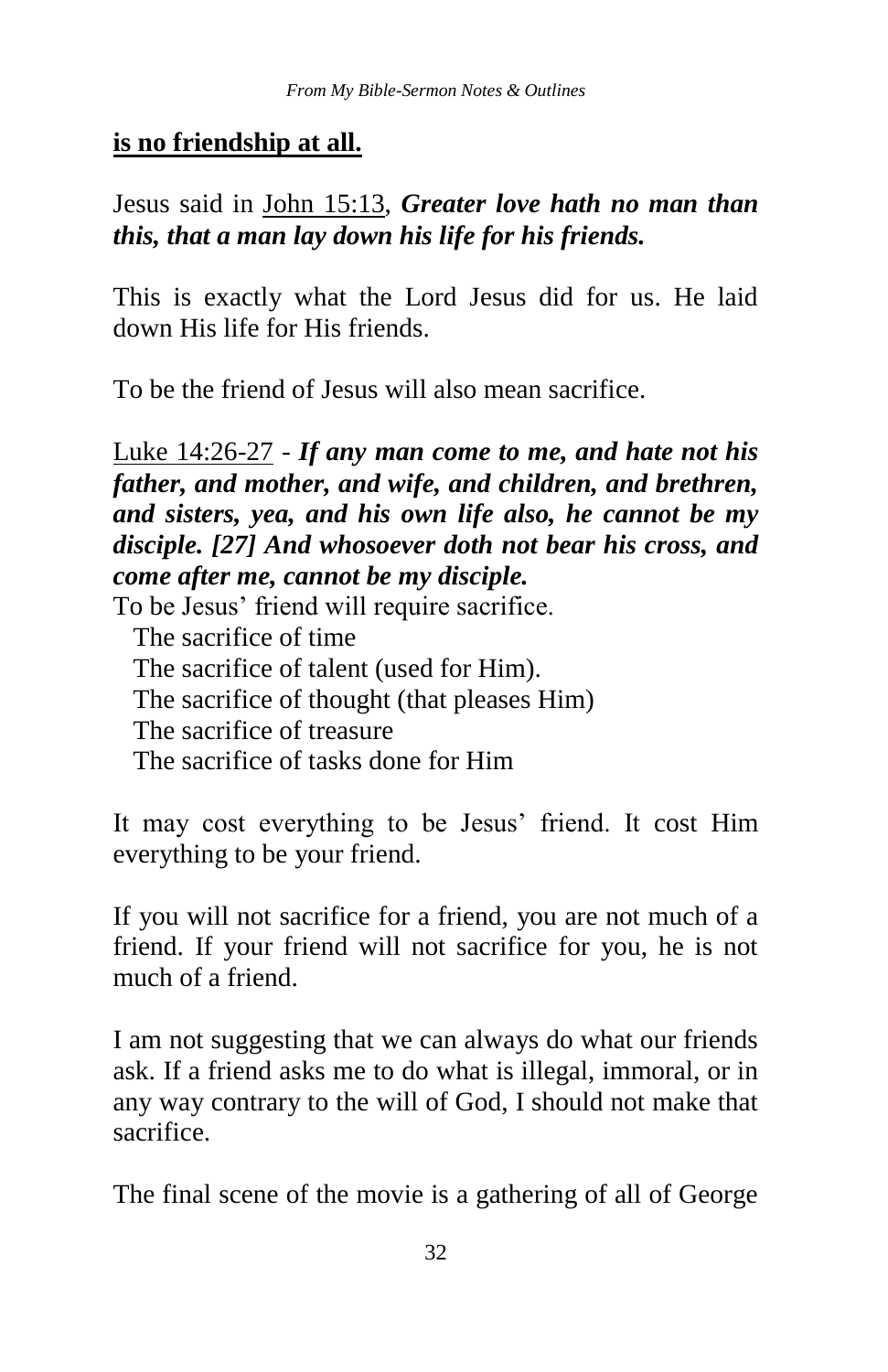#### **is no friendship at all.**

Jesus said in John 15:13, *Greater love hath no man than this, that a man lay down his life for his friends.* 

This is exactly what the Lord Jesus did for us. He laid down His life for His friends.

To be the friend of Jesus will also mean sacrifice.

Luke 14:26-27 - *If any man come to me, and hate not his father, and mother, and wife, and children, and brethren, and sisters, yea, and his own life also, he cannot be my disciple. [27] And whosoever doth not bear his cross, and come after me, cannot be my disciple.* 

To be Jesus' friend will require sacrifice. The sacrifice of time The sacrifice of talent (used for Him). The sacrifice of thought (that pleases Him) The sacrifice of treasure The sacrifice of tasks done for Him

It may cost everything to be Jesus' friend. It cost Him everything to be your friend.

If you will not sacrifice for a friend, you are not much of a friend. If your friend will not sacrifice for you, he is not much of a friend.

I am not suggesting that we can always do what our friends ask. If a friend asks me to do what is illegal, immoral, or in any way contrary to the will of God, I should not make that sacrifice.

The final scene of the movie is a gathering of all of George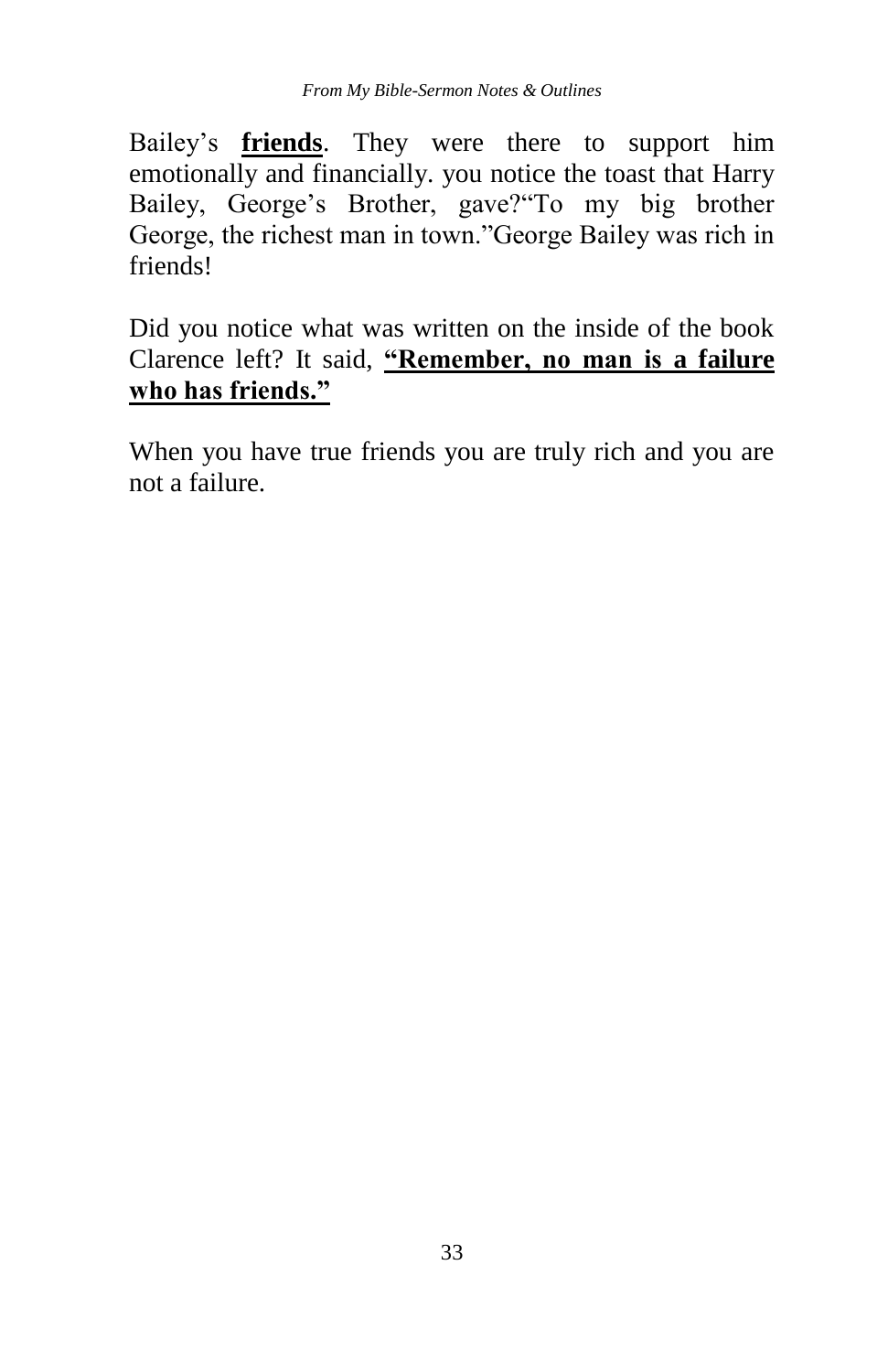Bailey's **friends**. They were there to support him emotionally and financially. you notice the toast that Harry Bailey, George's Brother, gave?"To my big brother George, the richest man in town."George Bailey was rich in friends!

Did you notice what was written on the inside of the book Clarence left? It said, **"Remember, no man is a failure who has friends."**

When you have true friends you are truly rich and you are not a failure.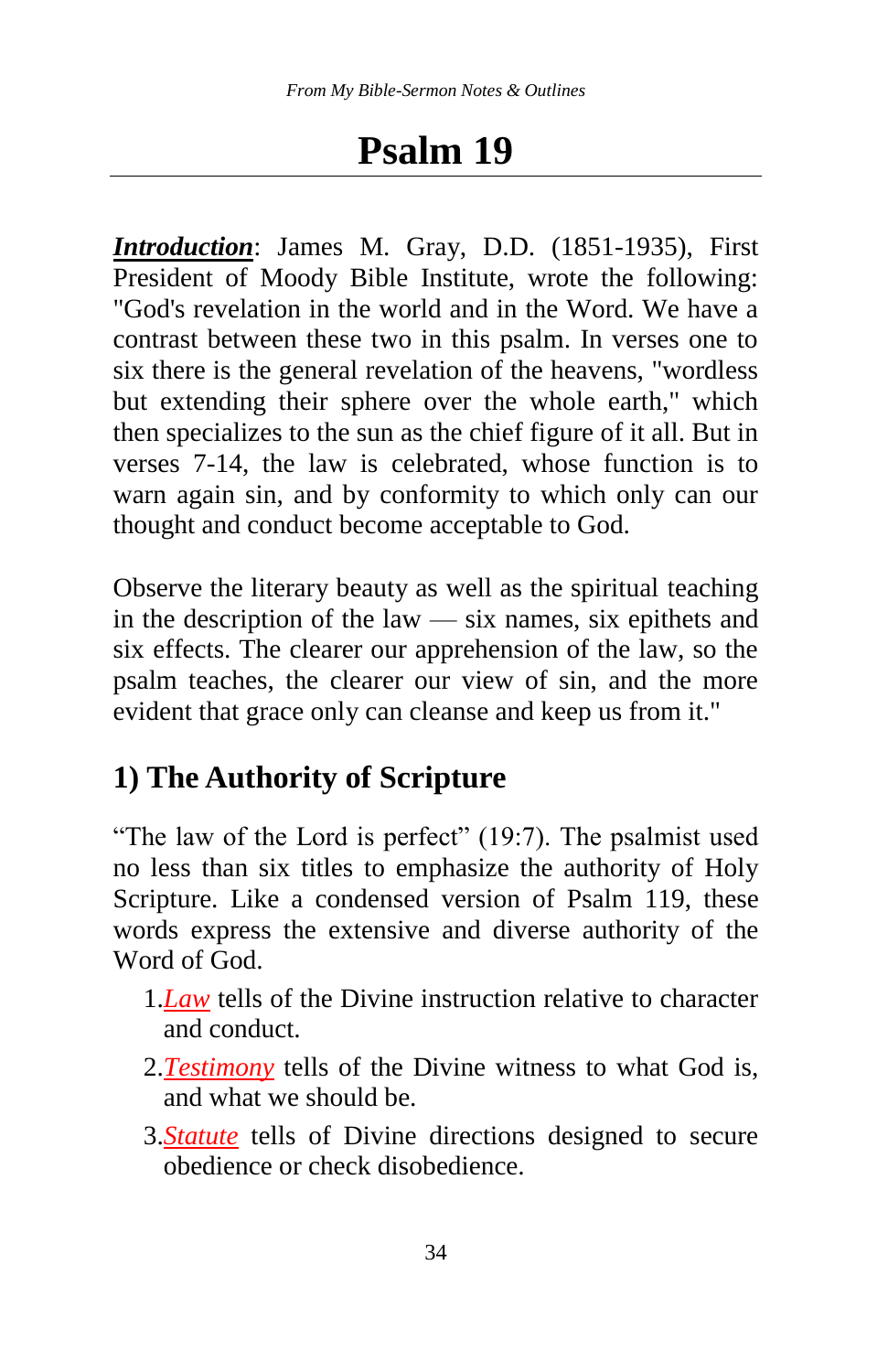# **Psalm 19**

<span id="page-33-0"></span>*Introduction*: James M. Gray, D.D. (1851-1935), First President of Moody Bible Institute, wrote the following: "God's revelation in the world and in the Word. We have a contrast between these two in this psalm. In verses one to six there is the general revelation of the heavens, "wordless but extending their sphere over the whole earth," which then specializes to the sun as the chief figure of it all. But in verses 7-14, the law is celebrated, whose function is to warn again sin, and by conformity to which only can our thought and conduct become acceptable to God.

Observe the literary beauty as well as the spiritual teaching in the description of the law — six names, six epithets and six effects. The clearer our apprehension of the law, so the psalm teaches, the clearer our view of sin, and the more evident that grace only can cleanse and keep us from it."

# **1) The Authority of Scripture**

"The law of the Lord is perfect" (19:7). The psalmist used no less than six titles to emphasize the authority of Holy Scripture. Like a condensed version of Psalm 119, these words express the extensive and diverse authority of the Word of God.

- 1.*Law* tells of the Divine instruction relative to character and conduct.
- 2.*Testimony* tells of the Divine witness to what God is, and what we should be.
- 3.*Statute* tells of Divine directions designed to secure obedience or check disobedience.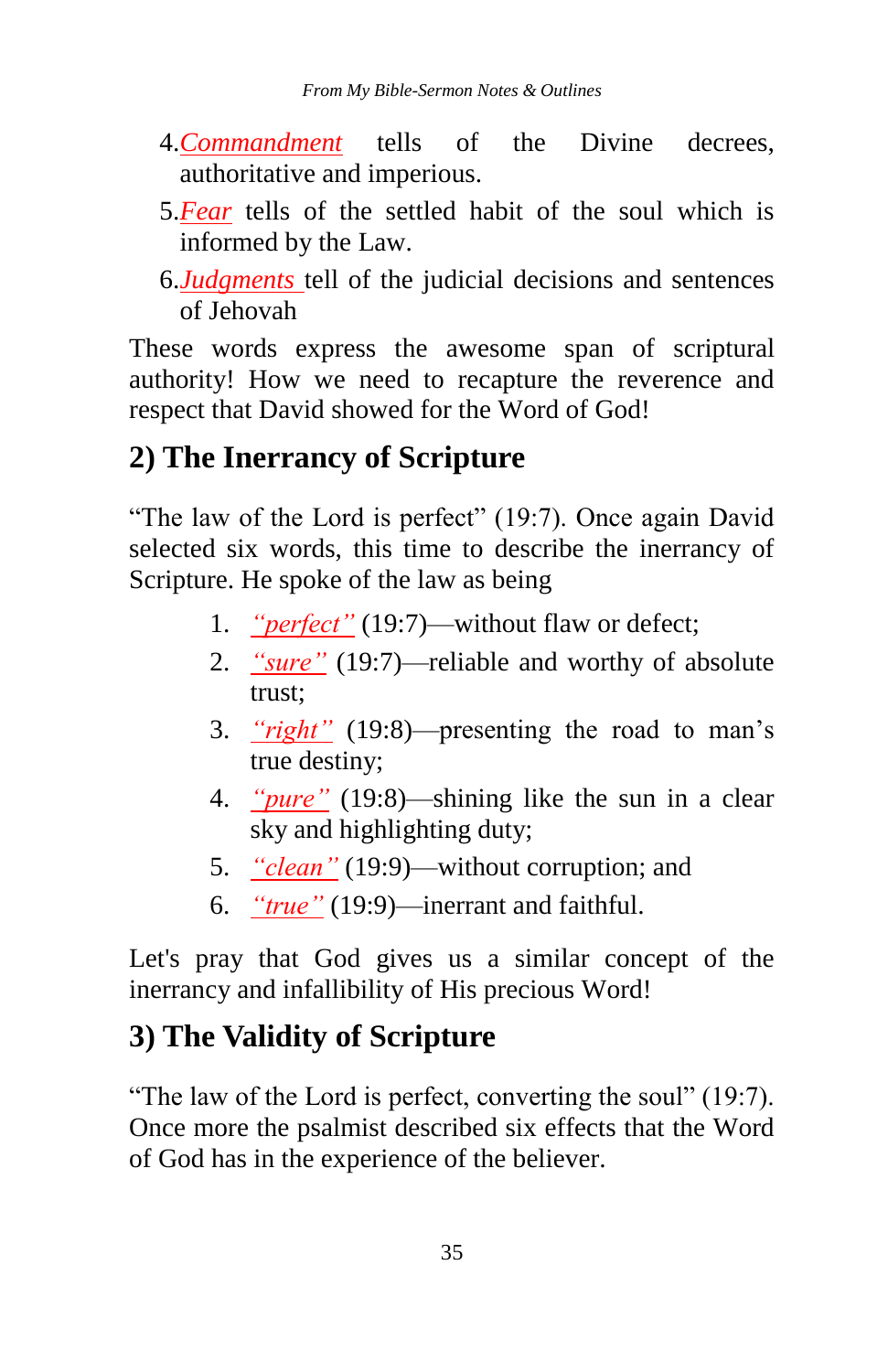- 4.*Commandment* tells of the Divine decrees, authoritative and imperious.
- 5.*Fear* tells of the settled habit of the soul which is informed by the Law.
- 6.*Judgments* tell of the judicial decisions and sentences of Jehovah

These words express the awesome span of scriptural authority! How we need to recapture the reverence and respect that David showed for the Word of God!

# **2) The Inerrancy of Scripture**

"The law of the Lord is perfect" (19:7). Once again David selected six words, this time to describe the inerrancy of Scripture. He spoke of the law as being

- 1. *"perfect"* (19:7)—without flaw or defect;
- 2. *"sure"* (19:7)—reliable and worthy of absolute trust;
- 3. *"right"* (19:8)—presenting the road to man's true destiny;
- 4. *"pure"* (19:8)—shining like the sun in a clear sky and highlighting duty;
- 5. *"clean"* (19:9)—without corruption; and
- 6. *"true"* (19:9)—inerrant and faithful.

Let's pray that God gives us a similar concept of the inerrancy and infallibility of His precious Word!

# **3) The Validity of Scripture**

"The law of the Lord is perfect, converting the soul" (19:7). Once more the psalmist described six effects that the Word of God has in the experience of the believer.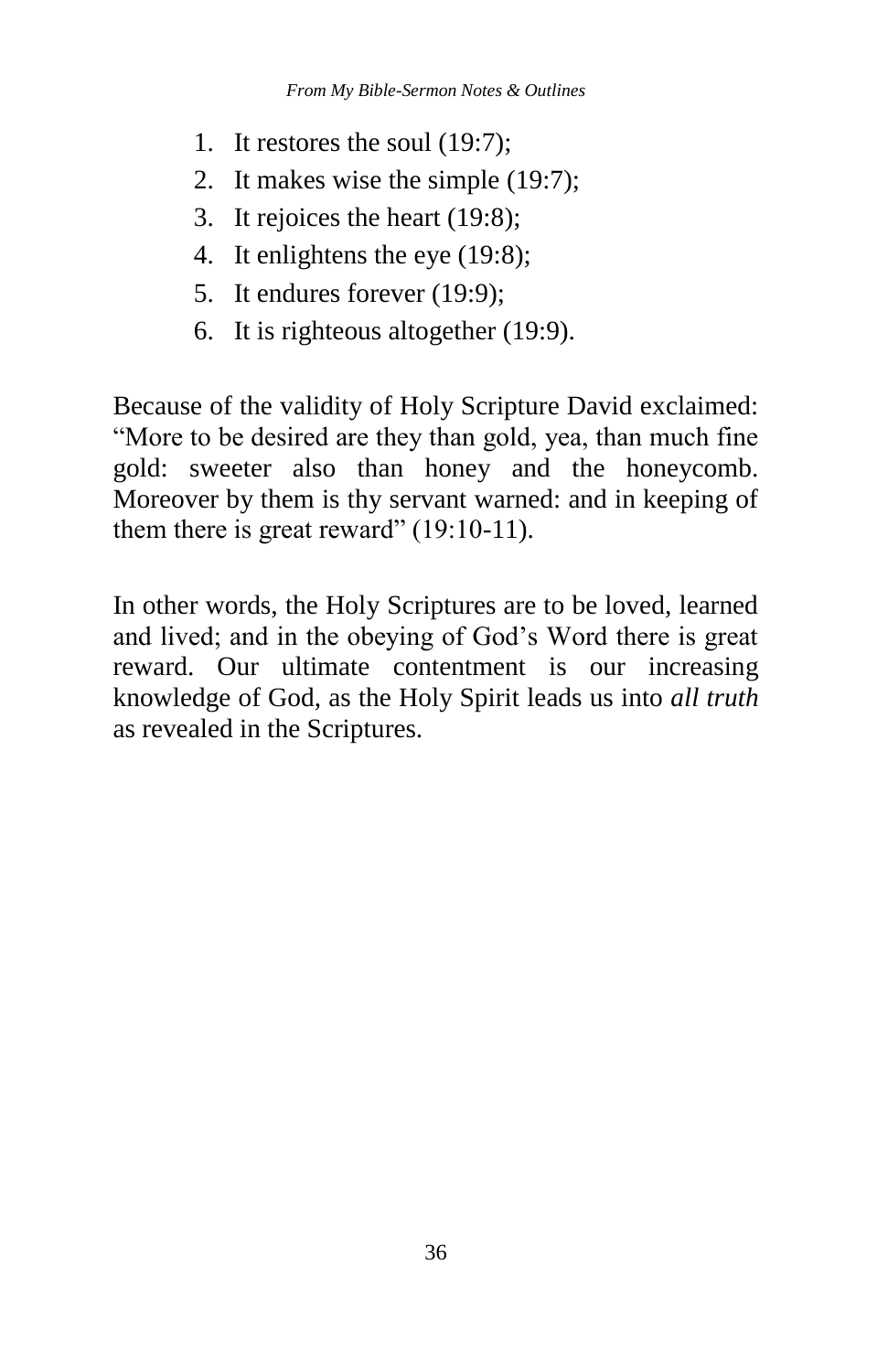- 1. It restores the soul (19:7);
- 2. It makes wise the simple (19:7);
- 3. It rejoices the heart (19:8);
- 4. It enlightens the eye (19:8);
- 5. It endures forever (19:9);
- 6. It is righteous altogether (19:9).

Because of the validity of Holy Scripture David exclaimed: "More to be desired are they than gold, yea, than much fine gold: sweeter also than honey and the honeycomb. Moreover by them is thy servant warned: and in keeping of them there is great reward" (19:10-11).

In other words, the Holy Scriptures are to be loved, learned and lived; and in the obeying of God's Word there is great reward. Our ultimate contentment is our increasing knowledge of God, as the Holy Spirit leads us into *all truth*  as revealed in the Scriptures.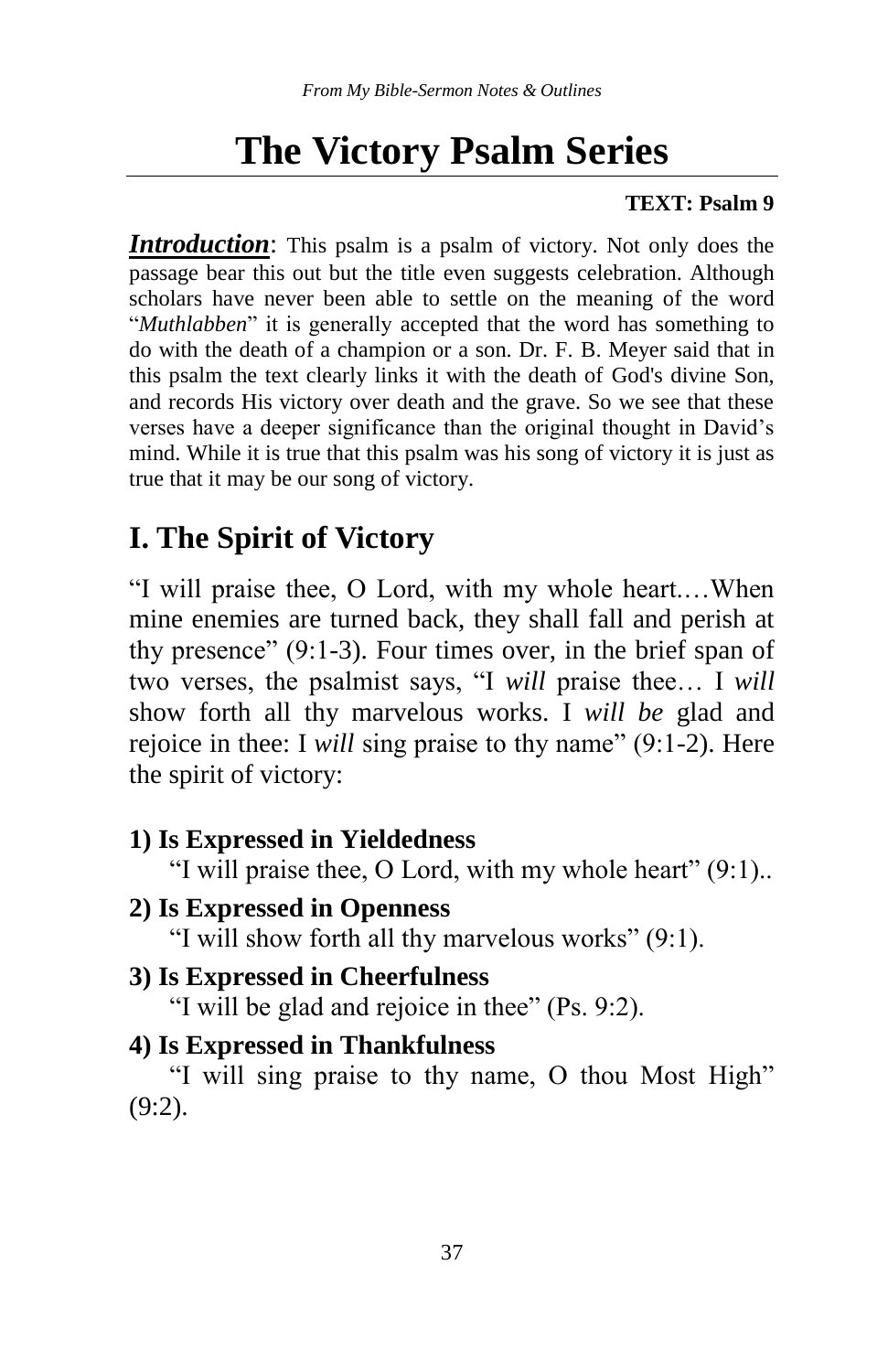# <span id="page-36-0"></span>**The Victory Psalm Series**

#### **TEXT: Psalm 9**

**Introduction**: This psalm is a psalm of victory. Not only does the passage bear this out but the title even suggests celebration. Although scholars have never been able to settle on the meaning of the word "*Muthlabben*" it is generally accepted that the word has something to do with the death of a champion or a son. Dr. F. B. Meyer said that in this psalm the text clearly links it with the death of God's divine Son, and records His victory over death and the grave. So we see that these verses have a deeper significance than the original thought in David's mind. While it is true that this psalm was his song of victory it is just as true that it may be our song of victory.

# **I. The Spirit of Victory**

"I will praise thee, O Lord, with my whole heart.…When mine enemies are turned back, they shall fall and perish at thy presence" (9:1-3). Four times over, in the brief span of two verses, the psalmist says, "I *will* praise thee… I *will*  show forth all thy marvelous works. I *will be* glad and rejoice in thee: I *will* sing praise to thy name" (9:1-2). Here the spirit of victory:

#### **1) Is Expressed in Yieldedness**

"I will praise thee, O Lord, with my whole heart" (9:1)..

#### **2) Is Expressed in Openness**

"I will show forth all thy marvelous works" (9:1).

#### **3) Is Expressed in Cheerfulness**

"I will be glad and rejoice in thee" (Ps. 9:2).

#### **4) Is Expressed in Thankfulness**

"I will sing praise to thy name, O thou Most High" (9:2).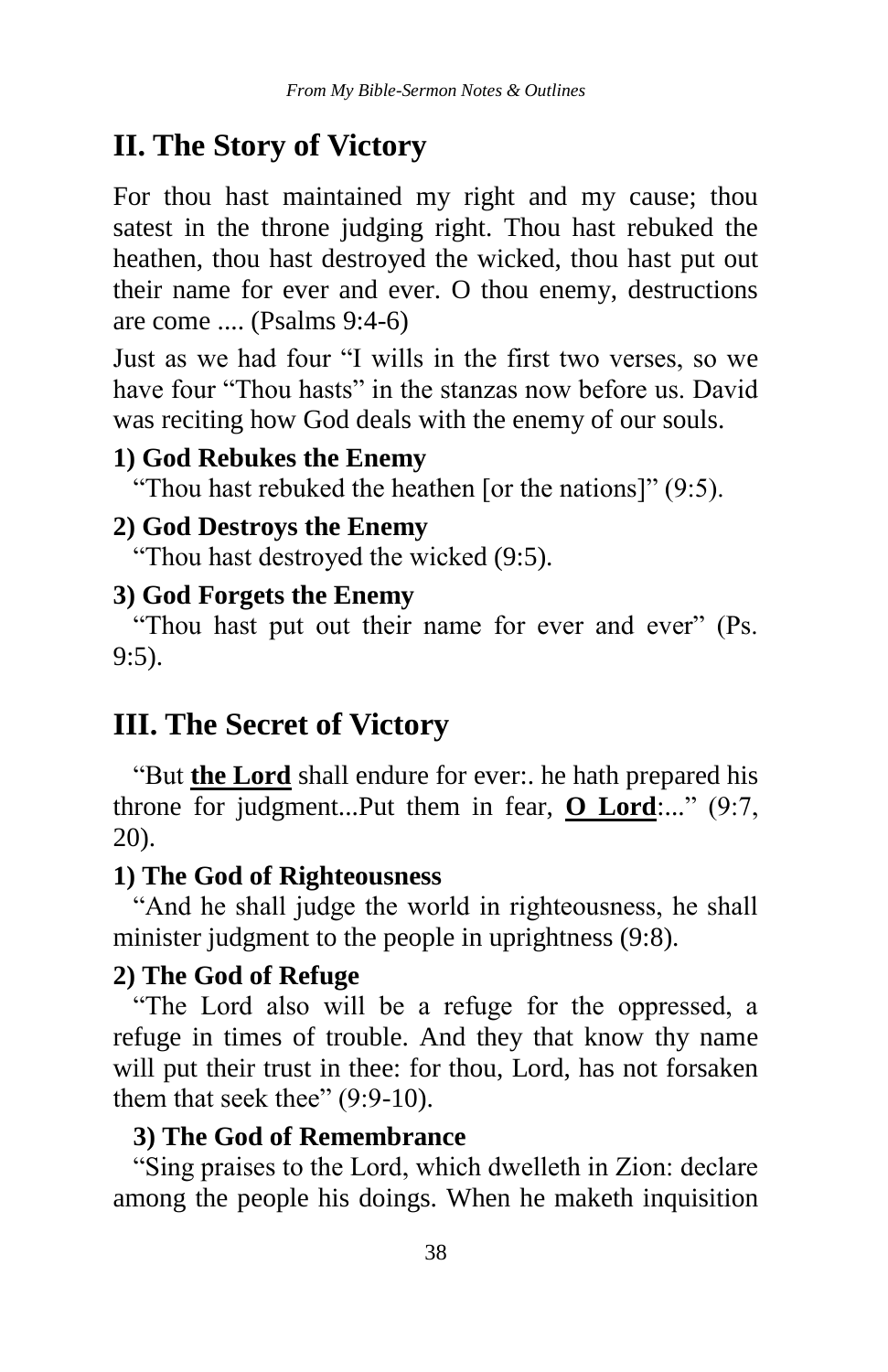# **II. The Story of Victory**

For thou hast maintained my right and my cause; thou satest in the throne judging right. Thou hast rebuked the heathen, thou hast destroyed the wicked, thou hast put out their name for ever and ever. O thou enemy, destructions are come .... (Psalms 9:4-6)

Just as we had four "I wills in the first two verses, so we have four "Thou hasts" in the stanzas now before us. David was reciting how God deals with the enemy of our souls.

#### **1) God Rebukes the Enemy**

"Thou hast rebuked the heathen [or the nations]" (9:5).

#### **2) God Destroys the Enemy**

"Thou hast destroyed the wicked (9:5).

#### **3) God Forgets the Enemy**

"Thou hast put out their name for ever and ever" (Ps. 9:5).

# **III. The Secret of Victory**

"But **the Lord** shall endure for ever:. he hath prepared his throne for judgment...Put them in fear, **O Lord**:..." (9:7, 20).

#### **1) The God of Righteousness**

"And he shall judge the world in righteousness, he shall minister judgment to the people in uprightness (9:8).

#### **2) The God of Refuge**

"The Lord also will be a refuge for the oppressed, a refuge in times of trouble. And they that know thy name will put their trust in thee: for thou, Lord, has not forsaken them that seek thee" (9:9-10).

#### **3) The God of Remembrance**

"Sing praises to the Lord, which dwelleth in Zion: declare among the people his doings. When he maketh inquisition